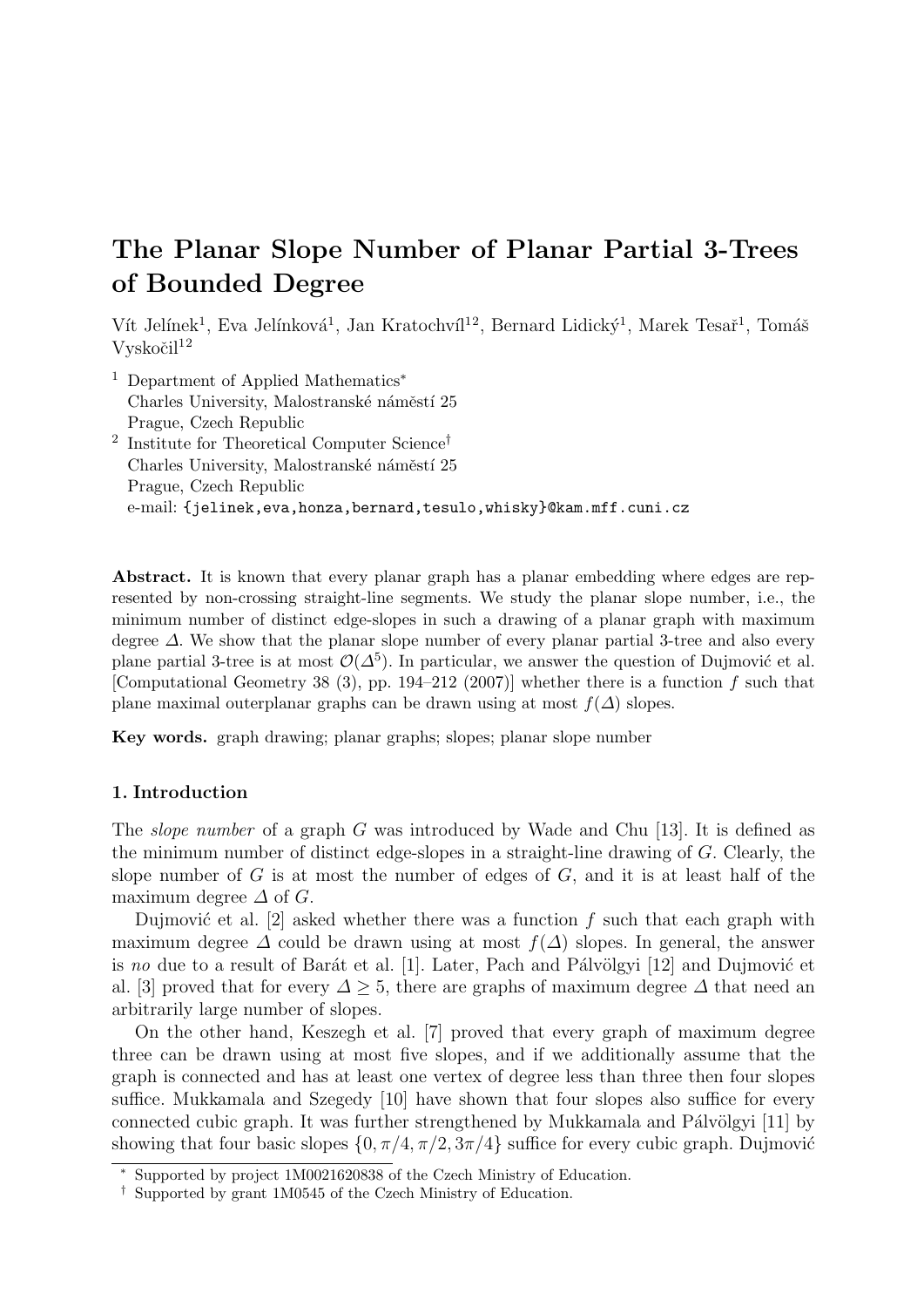# The Planar Slope Number of Planar Partial 3-Trees of Bounded Degree

Vít Jelínek<sup>1</sup>, Eva Jelínková<sup>1</sup>, Jan Kratochvíl<sup>12</sup>, Bernard Lidický<sup>1</sup>, Marek Tesař<sup>1</sup>, Tomáš  $Vvskočil<sup>12</sup>$ 

<sup>1</sup> Department of Applied Mathematics<sup>∗</sup> Charles University, Malostranské náměstí 25 Prague, Czech Republic 2 Institute for Theoretical Computer Science† Charles University, Malostranské náměstí 25 Prague, Czech Republic e-mail: {jelinek,eva,honza,bernard,tesulo,whisky}@kam.mff.cuni.cz

Abstract. It is known that every planar graph has a planar embedding where edges are represented by non-crossing straight-line segments. We study the planar slope number, i.e., the minimum number of distinct edge-slopes in such a drawing of a planar graph with maximum degree ∆. We show that the planar slope number of every planar partial 3-tree and also every plane partial 3-tree is at most  $\mathcal{O}(\Delta^5)$ . In particular, we answer the question of Dujmović et al. [Computational Geometry 38 (3), pp. 194–212 (2007)] whether there is a function  $f$  such that plane maximal outerplanar graphs can be drawn using at most  $f(\Delta)$  slopes.

Key words. graph drawing; planar graphs; slopes; planar slope number

## 1. Introduction

The *slope number* of a graph G was introduced by Wade and Chu [13]. It is defined as the minimum number of distinct edge-slopes in a straight-line drawing of G. Clearly, the slope number of  $G$  is at most the number of edges of  $G$ , and it is at least half of the maximum degree  $\Delta$  of  $G$ .

Dujmović et al. [2] asked whether there was a function f such that each graph with maximum degree  $\Delta$  could be drawn using at most  $f(\Delta)$  slopes. In general, the answer is no due to a result of Barát et al. [1]. Later, Pach and Pálvölgyi [12] and Dujmović et al. [3] proved that for every  $\Delta > 5$ , there are graphs of maximum degree  $\Delta$  that need an arbitrarily large number of slopes.

On the other hand, Keszegh et al. [7] proved that every graph of maximum degree three can be drawn using at most five slopes, and if we additionally assume that the graph is connected and has at least one vertex of degree less than three then four slopes suffice. Mukkamala and Szegedy [10] have shown that four slopes also suffice for every connected cubic graph. It was further strengthened by Mukkamala and Pálvölgyi  $[11]$  by showing that four basic slopes  $\{0, \pi/4, \pi/2, 3\pi/4\}$  suffice for every cubic graph. Dujmović

<sup>∗</sup> Supported by project 1M0021620838 of the Czech Ministry of Education.

<sup>†</sup> Supported by grant 1M0545 of the Czech Ministry of Education.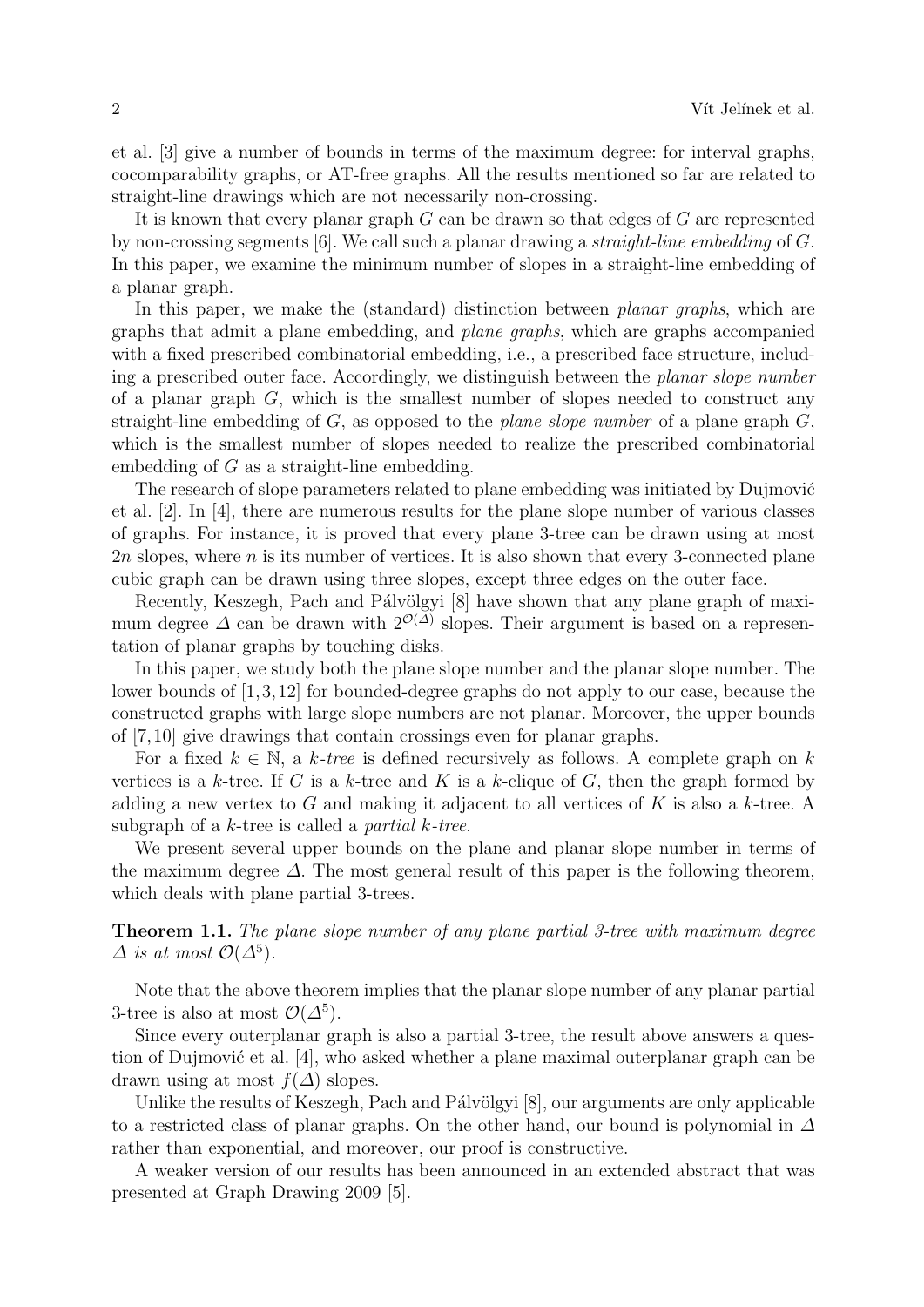et al. [3] give a number of bounds in terms of the maximum degree: for interval graphs, cocomparability graphs, or AT-free graphs. All the results mentioned so far are related to straight-line drawings which are not necessarily non-crossing.

It is known that every planar graph  $G$  can be drawn so that edges of  $G$  are represented by non-crossing segments [6]. We call such a planar drawing a straight-line embedding of G. In this paper, we examine the minimum number of slopes in a straight-line embedding of a planar graph.

In this paper, we make the (standard) distinction between *planar graphs*, which are graphs that admit a plane embedding, and plane graphs, which are graphs accompanied with a fixed prescribed combinatorial embedding, i.e., a prescribed face structure, including a prescribed outer face. Accordingly, we distinguish between the planar slope number of a planar graph  $G$ , which is the smallest number of slopes needed to construct any straight-line embedding of  $G$ , as opposed to the *plane slope number* of a plane graph  $G$ , which is the smallest number of slopes needed to realize the prescribed combinatorial embedding of G as a straight-line embedding.

The research of slope parameters related to plane embedding was initiated by Dujmović et al. [2]. In [4], there are numerous results for the plane slope number of various classes of graphs. For instance, it is proved that every plane 3-tree can be drawn using at most 2n slopes, where n is its number of vertices. It is also shown that every 3-connected plane cubic graph can be drawn using three slopes, except three edges on the outer face.

Recently, Keszegh, Pach and Pálvölgyi [8] have shown that any plane graph of maximum degree  $\Delta$  can be drawn with  $2^{\mathcal{O}(\Delta)}$  slopes. Their argument is based on a representation of planar graphs by touching disks.

In this paper, we study both the plane slope number and the planar slope number. The lower bounds of [1,3,12] for bounded-degree graphs do not apply to our case, because the constructed graphs with large slope numbers are not planar. Moreover, the upper bounds of [7,10] give drawings that contain crossings even for planar graphs.

For a fixed  $k \in \mathbb{N}$ , a k-tree is defined recursively as follows. A complete graph on k vertices is a k-tree. If G is a k-tree and K is a k-clique of G, then the graph formed by adding a new vertex to G and making it adjacent to all vertices of K is also a  $k$ -tree. A subgraph of a  $k$ -tree is called a *partial*  $k$ -tree.

We present several upper bounds on the plane and planar slope number in terms of the maximum degree  $\Delta$ . The most general result of this paper is the following theorem, which deals with plane partial 3-trees.

Theorem 1.1. The plane slope number of any plane partial 3-tree with maximum degree  $\Delta$  is at most  $\mathcal{O}(\Delta^5)$ .

Note that the above theorem implies that the planar slope number of any planar partial 3-tree is also at most  $\mathcal{O}(\Delta^5)$ .

Since every outerplanar graph is also a partial 3-tree, the result above answers a question of Dujmović et al. [4], who asked whether a plane maximal outerplanar graph can be drawn using at most  $f(\Delta)$  slopes.

Unlike the results of Keszegh, Pach and Pálvölgyi [8], our arguments are only applicable to a restricted class of planar graphs. On the other hand, our bound is polynomial in  $\Delta$ rather than exponential, and moreover, our proof is constructive.

A weaker version of our results has been announced in an extended abstract that was presented at Graph Drawing 2009 [5].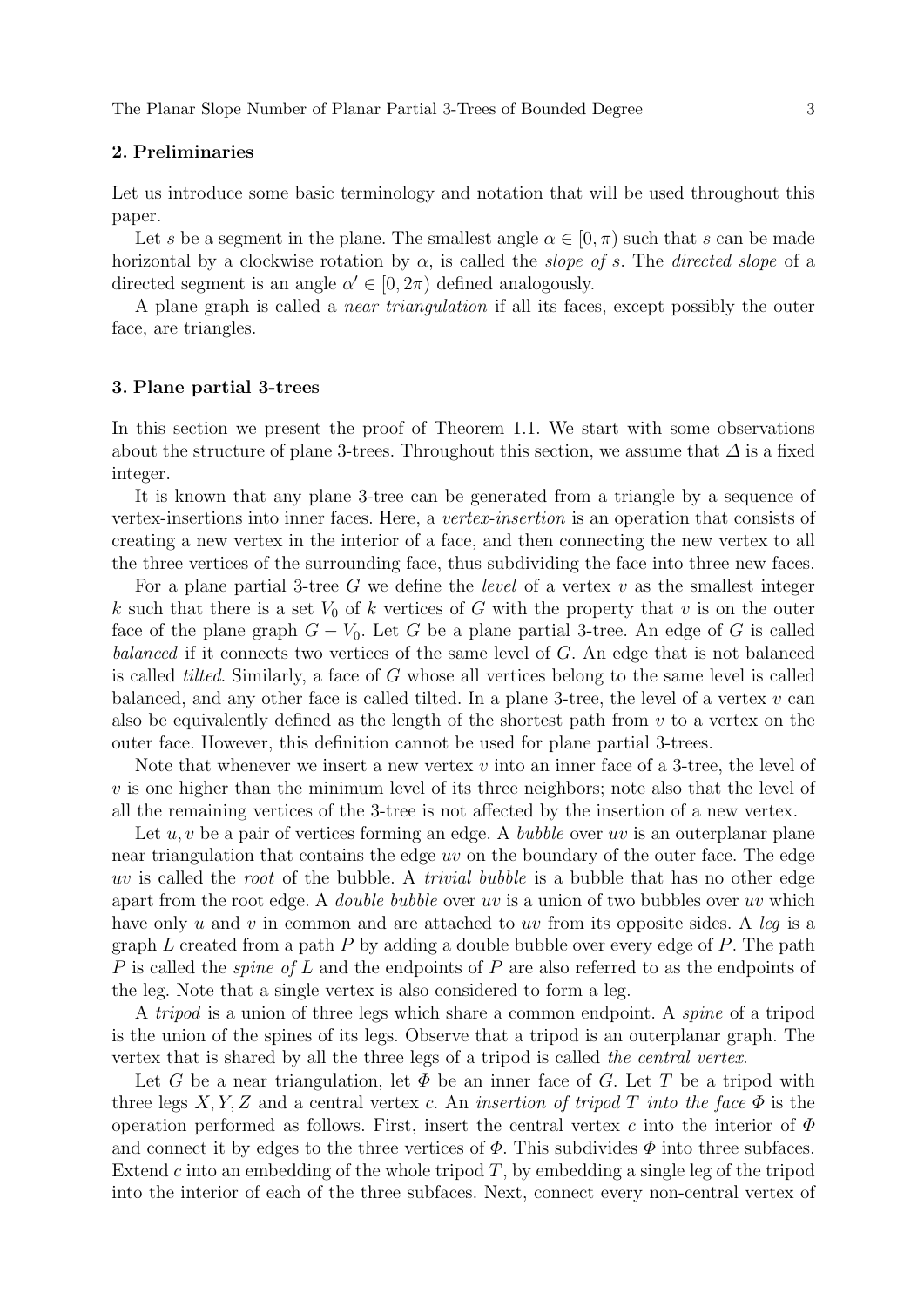#### 2. Preliminaries

Let us introduce some basic terminology and notation that will be used throughout this paper.

Let s be a segment in the plane. The smallest angle  $\alpha \in [0, \pi)$  such that s can be made horizontal by a clockwise rotation by  $\alpha$ , is called the *slope of s*. The *directed slope* of a directed segment is an angle  $\alpha' \in [0, 2\pi)$  defined analogously.

A plane graph is called a near triangulation if all its faces, except possibly the outer face, are triangles.

#### 3. Plane partial 3-trees

In this section we present the proof of Theorem 1.1. We start with some observations about the structure of plane 3-trees. Throughout this section, we assume that  $\Delta$  is a fixed integer.

It is known that any plane 3-tree can be generated from a triangle by a sequence of vertex-insertions into inner faces. Here, a vertex-insertion is an operation that consists of creating a new vertex in the interior of a face, and then connecting the new vertex to all the three vertices of the surrounding face, thus subdividing the face into three new faces.

For a plane partial 3-tree G we define the *level* of a vertex  $v$  as the smallest integer k such that there is a set  $V_0$  of k vertices of G with the property that v is on the outer face of the plane graph  $G - V_0$ . Let G be a plane partial 3-tree. An edge of G is called balanced if it connects two vertices of the same level of G. An edge that is not balanced is called tilted. Similarly, a face of G whose all vertices belong to the same level is called balanced, and any other face is called tilted. In a plane 3-tree, the level of a vertex  $v$  can also be equivalently defined as the length of the shortest path from  $v$  to a vertex on the outer face. However, this definition cannot be used for plane partial 3-trees.

Note that whenever we insert a new vertex  $v$  into an inner face of a 3-tree, the level of  $v$  is one higher than the minimum level of its three neighbors; note also that the level of all the remaining vertices of the 3-tree is not affected by the insertion of a new vertex.

Let  $u, v$  be a pair of vertices forming an edge. A *bubble* over uv is an outerplanar plane near triangulation that contains the edge uv on the boundary of the outer face. The edge uv is called the root of the bubble. A trivial bubble is a bubble that has no other edge apart from the root edge. A *double bubble* over uv is a union of two bubbles over uv which have only  $u$  and  $v$  in common and are attached to  $uv$  from its opposite sides. A leg is a graph  $L$  created from a path  $P$  by adding a double bubble over every edge of  $P$ . The path P is called the *spine of L* and the endpoints of P are also referred to as the endpoints of the leg. Note that a single vertex is also considered to form a leg.

A tripod is a union of three legs which share a common endpoint. A spine of a tripod is the union of the spines of its legs. Observe that a tripod is an outerplanar graph. The vertex that is shared by all the three legs of a tripod is called the central vertex.

Let G be a near triangulation, let  $\Phi$  be an inner face of G. Let T be a tripod with three legs  $X, Y, Z$  and a central vertex c. An *insertion of tripod T into the face*  $\Phi$  is the operation performed as follows. First, insert the central vertex c into the interior of  $\Phi$ and connect it by edges to the three vertices of  $\Phi$ . This subdivides  $\Phi$  into three subfaces. Extend c into an embedding of the whole tripod  $T$ , by embedding a single leg of the tripod into the interior of each of the three subfaces. Next, connect every non-central vertex of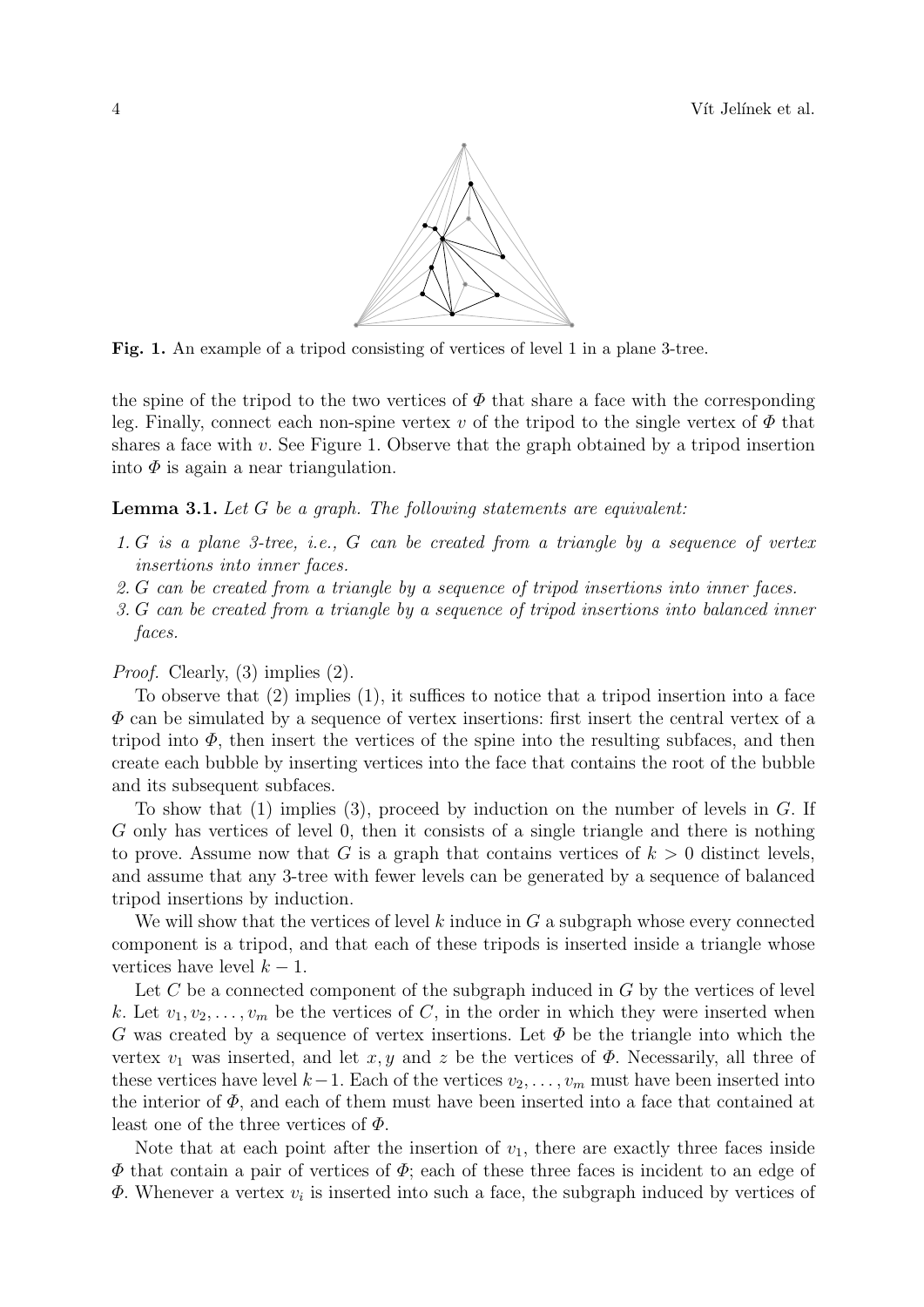

Fig. 1. An example of a tripod consisting of vertices of level 1 in a plane 3-tree.

the spine of the tripod to the two vertices of  $\Phi$  that share a face with the corresponding leg. Finally, connect each non-spine vertex v of the tripod to the single vertex of  $\Phi$  that shares a face with  $v$ . See Figure 1. Observe that the graph obtained by a tripod insertion into  $\Phi$  is again a near triangulation.

Lemma 3.1. Let G be a graph. The following statements are equivalent:

- 1. G is a plane 3-tree, i.e., G can be created from a triangle by a sequence of vertex insertions into inner faces.
- 2. G can be created from a triangle by a sequence of tripod insertions into inner faces.
- 3. G can be created from a triangle by a sequence of tripod insertions into balanced inner faces.

Proof. Clearly, (3) implies (2).

To observe that (2) implies (1), it suffices to notice that a tripod insertion into a face  $\Phi$  can be simulated by a sequence of vertex insertions: first insert the central vertex of a tripod into  $\Phi$ , then insert the vertices of the spine into the resulting subfaces, and then create each bubble by inserting vertices into the face that contains the root of the bubble and its subsequent subfaces.

To show that  $(1)$  implies  $(3)$ , proceed by induction on the number of levels in G. If G only has vertices of level 0, then it consists of a single triangle and there is nothing to prove. Assume now that G is a graph that contains vertices of  $k > 0$  distinct levels, and assume that any 3-tree with fewer levels can be generated by a sequence of balanced tripod insertions by induction.

We will show that the vertices of level k induce in  $G$  a subgraph whose every connected component is a tripod, and that each of these tripods is inserted inside a triangle whose vertices have level  $k - 1$ .

Let  $C$  be a connected component of the subgraph induced in  $G$  by the vertices of level k. Let  $v_1, v_2, \ldots, v_m$  be the vertices of C, in the order in which they were inserted when G was created by a sequence of vertex insertions. Let  $\Phi$  be the triangle into which the vertex  $v_1$  was inserted, and let  $x, y$  and z be the vertices of  $\Phi$ . Necessarily, all three of these vertices have level  $k-1$ . Each of the vertices  $v_2, \ldots, v_m$  must have been inserted into the interior of  $\Phi$ , and each of them must have been inserted into a face that contained at least one of the three vertices of  $\Phi$ .

Note that at each point after the insertion of  $v_1$ , there are exactly three faces inside  $\Phi$  that contain a pair of vertices of  $\Phi$ ; each of these three faces is incident to an edge of  $\Phi$ . Whenever a vertex  $v_i$  is inserted into such a face, the subgraph induced by vertices of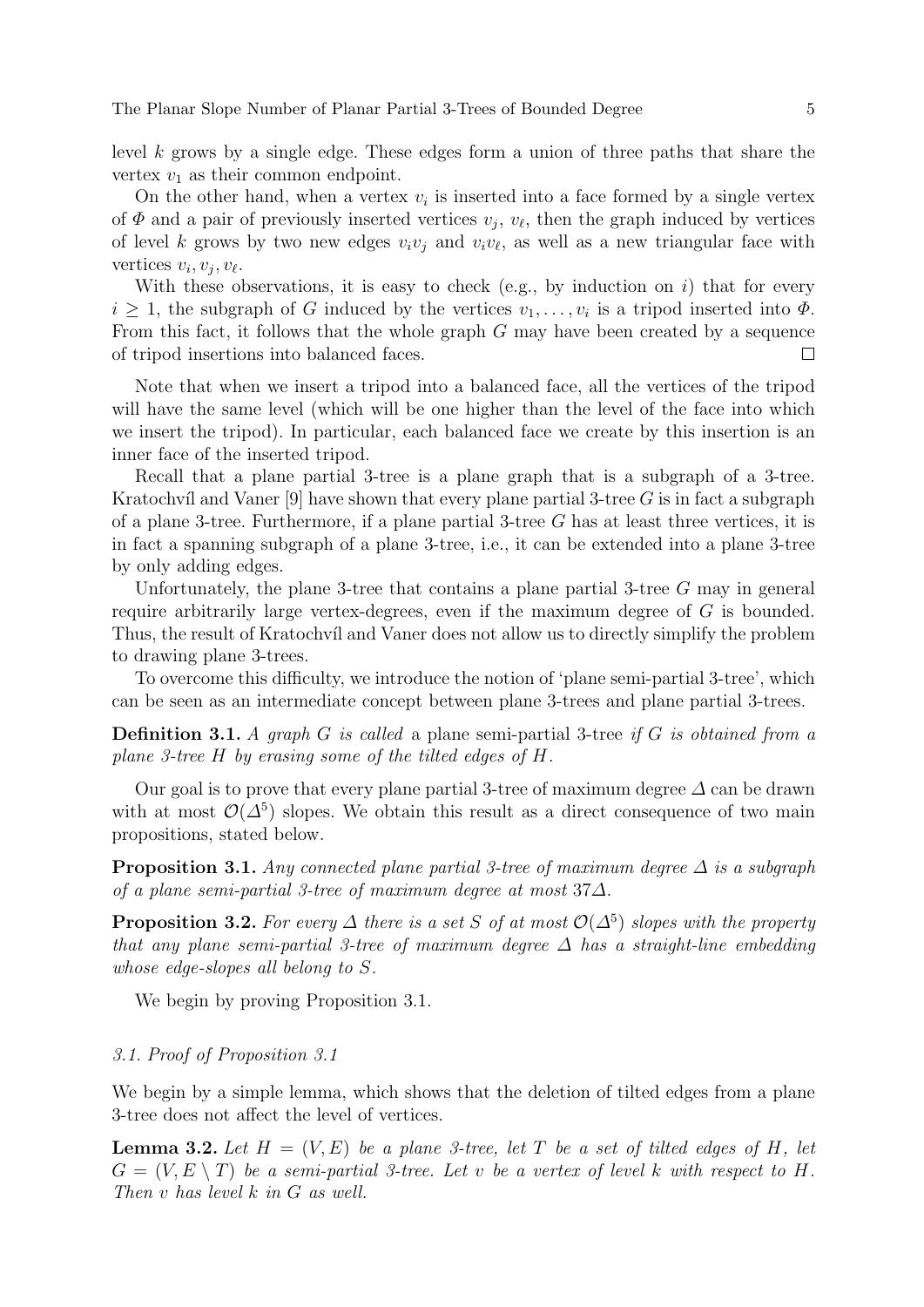level k grows by a single edge. These edges form a union of three paths that share the vertex  $v_1$  as their common endpoint.

On the other hand, when a vertex  $v_i$  is inserted into a face formed by a single vertex of  $\Phi$  and a pair of previously inserted vertices  $v_j$ ,  $v_\ell$ , then the graph induced by vertices of level k grows by two new edges  $v_i v_j$  and  $v_i v_\ell$ , as well as a new triangular face with vertices  $v_i, v_j, v_\ell$ .

With these observations, it is easy to check (e.g., by induction on  $i$ ) that for every  $i \geq 1$ , the subgraph of G induced by the vertices  $v_1, \ldots, v_i$  is a tripod inserted into  $\Phi$ . From this fact, it follows that the whole graph  $G$  may have been created by a sequence of tripod insertions into balanced faces.  $\Box$ 

Note that when we insert a tripod into a balanced face, all the vertices of the tripod will have the same level (which will be one higher than the level of the face into which we insert the tripod). In particular, each balanced face we create by this insertion is an inner face of the inserted tripod.

Recall that a plane partial 3-tree is a plane graph that is a subgraph of a 3-tree. Kratochvíl and Vaner [9] have shown that every plane partial 3-tree  $G$  is in fact a subgraph of a plane 3-tree. Furthermore, if a plane partial 3-tree  $G$  has at least three vertices, it is in fact a spanning subgraph of a plane 3-tree, i.e., it can be extended into a plane 3-tree by only adding edges.

Unfortunately, the plane 3-tree that contains a plane partial 3-tree G may in general require arbitrarily large vertex-degrees, even if the maximum degree of G is bounded. Thus, the result of Kratochvíl and Vaner does not allow us to directly simplify the problem to drawing plane 3-trees.

To overcome this difficulty, we introduce the notion of 'plane semi-partial 3-tree', which can be seen as an intermediate concept between plane 3-trees and plane partial 3-trees.

**Definition 3.1.** A graph G is called a plane semi-partial 3-tree if G is obtained from a plane 3-tree H by erasing some of the tilted edges of H.

Our goal is to prove that every plane partial 3-tree of maximum degree  $\Delta$  can be drawn with at most  $\mathcal{O}(\Delta^5)$  slopes. We obtain this result as a direct consequence of two main propositions, stated below.

**Proposition 3.1.** Any connected plane partial 3-tree of maximum degree  $\Delta$  is a subgraph of a plane semi-partial 3-tree of maximum degree at most 37∆.

**Proposition 3.2.** For every  $\Delta$  there is a set S of at most  $\mathcal{O}(\Delta^5)$  slopes with the property that any plane semi-partial 3-tree of maximum degree  $\Delta$  has a straight-line embedding whose edge-slopes all belong to S.

We begin by proving Proposition 3.1.

#### 3.1. Proof of Proposition 3.1

We begin by a simple lemma, which shows that the deletion of tilted edges from a plane 3-tree does not affect the level of vertices.

**Lemma 3.2.** Let  $H = (V, E)$  be a plane 3-tree, let T be a set of tilted edges of H, let  $G = (V, E \setminus T)$  be a semi-partial 3-tree. Let v be a vertex of level k with respect to H. Then v has level k in G as well.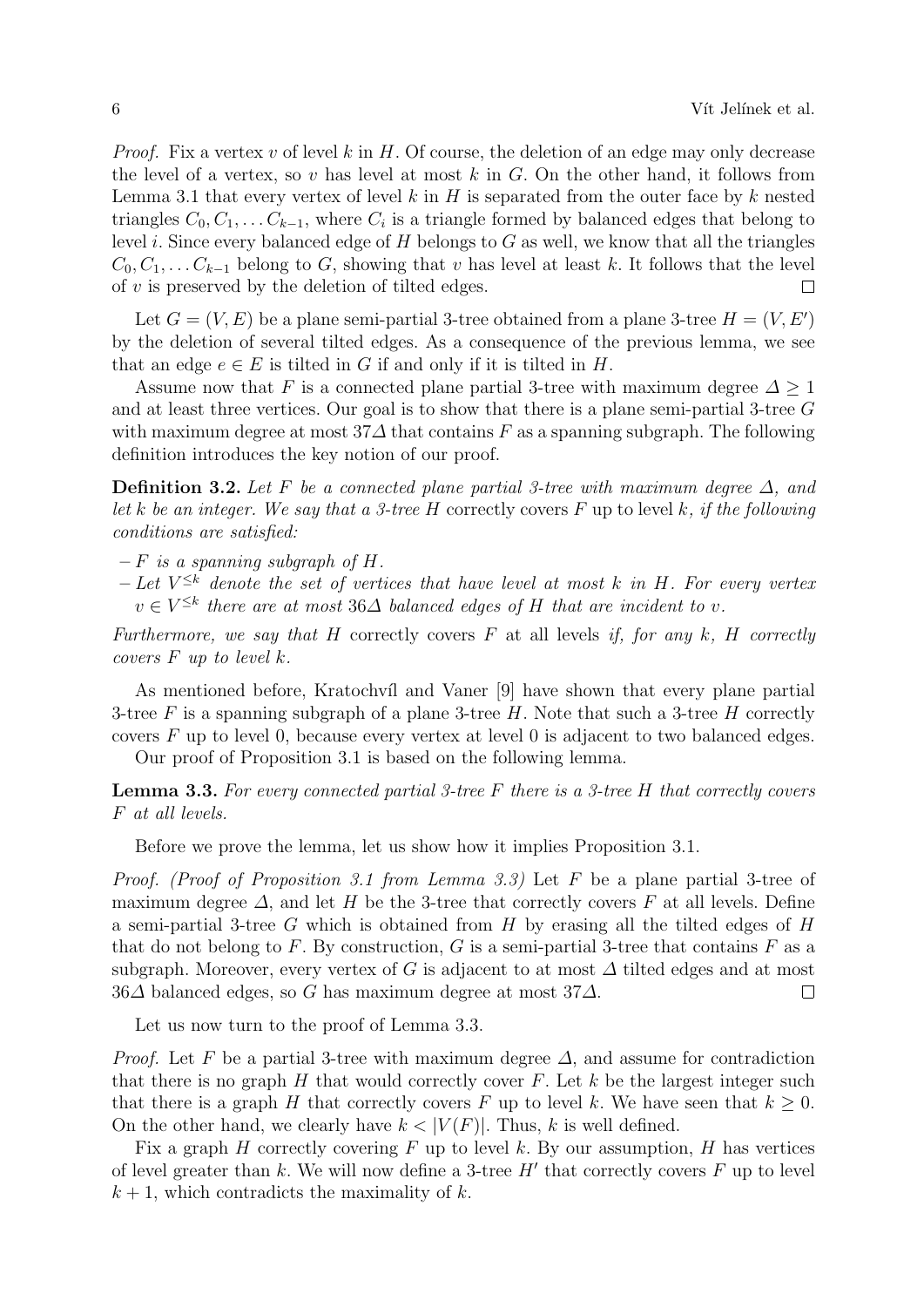*Proof.* Fix a vertex v of level k in H. Of course, the deletion of an edge may only decrease the level of a vertex, so v has level at most  $k$  in  $G$ . On the other hand, it follows from Lemma 3.1 that every vertex of level k in H is separated from the outer face by k nested triangles  $C_0, C_1, \ldots C_{k-1}$ , where  $C_i$  is a triangle formed by balanced edges that belong to level i. Since every balanced edge of  $H$  belongs to  $G$  as well, we know that all the triangles  $C_0, C_1, \ldots C_{k-1}$  belong to G, showing that v has level at least k. It follows that the level of  $v$  is preserved by the deletion of tilted edges.  $\Box$ 

Let  $G = (V, E)$  be a plane semi-partial 3-tree obtained from a plane 3-tree  $H = (V, E')$ by the deletion of several tilted edges. As a consequence of the previous lemma, we see that an edge  $e \in E$  is tilted in G if and only if it is tilted in H.

Assume now that F is a connected plane partial 3-tree with maximum degree  $\Delta \geq 1$ and at least three vertices. Our goal is to show that there is a plane semi-partial 3-tree G with maximum degree at most  $37\Delta$  that contains F as a spanning subgraph. The following definition introduces the key notion of our proof.

Definition 3.2. Let F be a connected plane partial 3-tree with maximum degree  $\Delta$ , and let k be an integer. We say that a 3-tree H correctly covers F up to level k, if the following conditions are satisfied:

- $-F$  is a spanning subgraph of H.
- $-$  Let  $V^{\leq k}$  denote the set of vertices that have level at most k in H. For every vertex  $v \in V^{\leq k}$  there are at most 36 $\Delta$  balanced edges of H that are incident to v.

Furthermore, we say that H correctly covers  $F$  at all levels if, for any  $k$ , H correctly covers  $F$  up to level  $k$ .

As mentioned before, Kratochvíl and Vaner [9] have shown that every plane partial 3-tree F is a spanning subgraph of a plane 3-tree H. Note that such a 3-tree H correctly covers F up to level 0, because every vertex at level 0 is adjacent to two balanced edges.

Our proof of Proposition 3.1 is based on the following lemma.

**Lemma 3.3.** For every connected partial 3-tree F there is a 3-tree H that correctly covers F at all levels.

Before we prove the lemma, let us show how it implies Proposition 3.1.

Proof. (Proof of Proposition 3.1 from Lemma 3.3) Let F be a plane partial 3-tree of maximum degree  $\Delta$ , and let H be the 3-tree that correctly covers F at all levels. Define a semi-partial 3-tree  $G$  which is obtained from  $H$  by erasing all the tilted edges of  $H$ that do not belong to  $F$ . By construction,  $G$  is a semi-partial 3-tree that contains  $F$  as a subgraph. Moreover, every vertex of G is adjacent to at most  $\Delta$  tilted edges and at most  $36\Delta$  balanced edges, so G has maximum degree at most 37 $\Delta$ .  $\Box$ 

Let us now turn to the proof of Lemma 3.3.

*Proof.* Let F be a partial 3-tree with maximum degree  $\Delta$ , and assume for contradiction that there is no graph  $H$  that would correctly cover  $F$ . Let  $k$  be the largest integer such that there is a graph H that correctly covers F up to level k. We have seen that  $k > 0$ . On the other hand, we clearly have  $k < |V(F)|$ . Thus, k is well defined.

Fix a graph H correctly covering F up to level k. By our assumption, H has vertices of level greater than  $k$ . We will now define a 3-tree  $H'$  that correctly covers  $F$  up to level  $k + 1$ , which contradicts the maximality of k.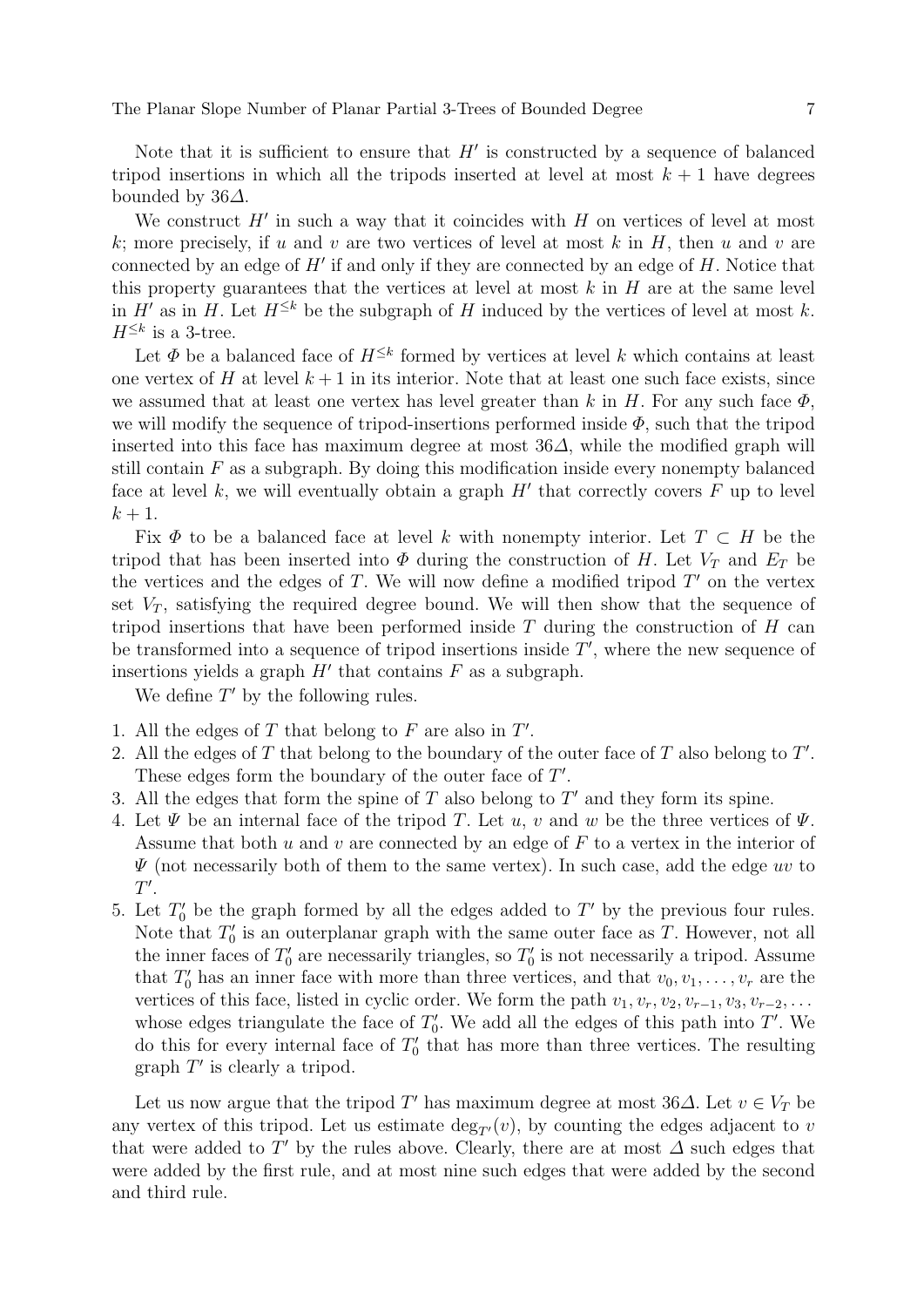The Planar Slope Number of Planar Partial 3-Trees of Bounded Degree 7

Note that it is sufficient to ensure that  $H'$  is constructed by a sequence of balanced tripod insertions in which all the tripods inserted at level at most  $k + 1$  have degrees bounded by 36∆.

We construct  $H'$  in such a way that it coincides with  $H$  on vertices of level at most k; more precisely, if u and v are two vertices of level at most k in H, then u and v are connected by an edge of  $H'$  if and only if they are connected by an edge of  $H$ . Notice that this property guarantees that the vertices at level at most  $k$  in  $H$  are at the same level in H' as in H. Let  $H^{\leq k}$  be the subgraph of H induced by the vertices of level at most k.  $H^{\leq k}$  is a 3-tree.

Let  $\Phi$  be a balanced face of  $H^{\leq k}$  formed by vertices at level k which contains at least one vertex of H at level  $k+1$  in its interior. Note that at least one such face exists, since we assumed that at least one vertex has level greater than k in H. For any such face  $\Phi$ , we will modify the sequence of tripod-insertions performed inside  $\Phi$ , such that the tripod inserted into this face has maximum degree at most  $36\Delta$ , while the modified graph will still contain  $F$  as a subgraph. By doing this modification inside every nonempty balanced face at level  $k$ , we will eventually obtain a graph  $H'$  that correctly covers  $F$  up to level  $k+1$ .

Fix  $\Phi$  to be a balanced face at level k with nonempty interior. Let  $T \subset H$  be the tripod that has been inserted into  $\Phi$  during the construction of H. Let  $V_T$  and  $E_T$  be the vertices and the edges of  $T$ . We will now define a modified tripod  $T'$  on the vertex set  $V_T$ , satisfying the required degree bound. We will then show that the sequence of tripod insertions that have been performed inside  $T$  during the construction of  $H$  can be transformed into a sequence of tripod insertions inside  $T'$ , where the new sequence of insertions yields a graph  $H'$  that contains  $F$  as a subgraph.

We define  $T'$  by the following rules.

- 1. All the edges of  $T$  that belong to  $F$  are also in  $T'$ .
- 2. All the edges of  $T$  that belong to the boundary of the outer face of  $T$  also belong to  $T'$ . These edges form the boundary of the outer face of  $T'$ .
- 3. All the edges that form the spine of  $T$  also belong to  $T'$  and they form its spine.
- 4. Let  $\Psi$  be an internal face of the tripod T. Let u, v and w be the three vertices of  $\Psi$ . Assume that both u and v are connected by an edge of  $F$  to a vertex in the interior of  $\Psi$  (not necessarily both of them to the same vertex). In such case, add the edge uv to  $T^{\prime}$ .
- 5. Let  $T_0'$  be the graph formed by all the edges added to  $T'$  by the previous four rules. Note that  $T_0'$  is an outerplanar graph with the same outer face as T. However, not all the inner faces of  $T_0'$  are necessarily triangles, so  $T_0'$  is not necessarily a tripod. Assume that  $T'_0$  has an inner face with more than three vertices, and that  $v_0, v_1, \ldots, v_r$  are the vertices of this face, listed in cyclic order. We form the path  $v_1, v_r, v_2, v_{r-1}, v_3, v_{r-2}, \ldots$ whose edges triangulate the face of  $T_0'$ . We add all the edges of this path into T'. We do this for every internal face of  $T_0'$  that has more than three vertices. The resulting graph  $T'$  is clearly a tripod.

Let us now argue that the tripod T' has maximum degree at most 36 $\Delta$ . Let  $v \in V_T$  be any vertex of this tripod. Let us estimate  $\deg_{T}(v)$ , by counting the edges adjacent to v that were added to T' by the rules above. Clearly, there are at most  $\Delta$  such edges that were added by the first rule, and at most nine such edges that were added by the second and third rule.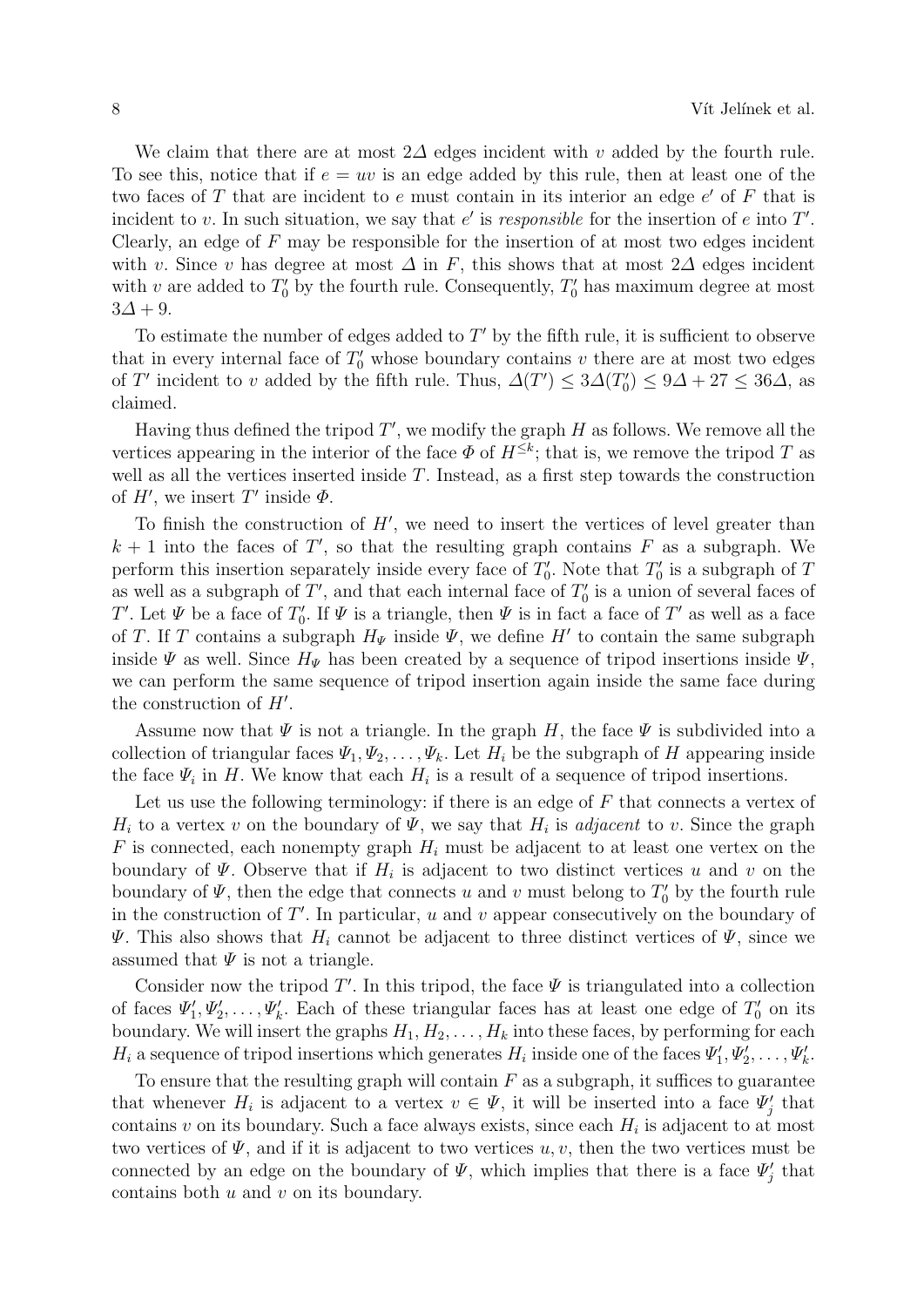We claim that there are at most 2 $\Delta$  edges incident with v added by the fourth rule. To see this, notice that if  $e = uv$  is an edge added by this rule, then at least one of the two faces of  $T$  that are incident to  $e$  must contain in its interior an edge  $e'$  of  $F$  that is incident to v. In such situation, we say that  $e'$  is responsible for the insertion of e into  $T'$ . Clearly, an edge of  $F$  may be responsible for the insertion of at most two edges incident with v. Since v has degree at most  $\Delta$  in F, this shows that at most 2 $\Delta$  edges incident with v are added to  $T_0'$  by the fourth rule. Consequently,  $T_0'$  has maximum degree at most  $3\Delta + 9$ .

To estimate the number of edges added to  $T'$  by the fifth rule, it is sufficient to observe that in every internal face of  $T_0'$  whose boundary contains  $v$  there are at most two edges of T' incident to v added by the fifth rule. Thus,  $\Delta(T') \leq 3\Delta(T'_0) \leq 9\Delta + 27 \leq 36\Delta$ , as claimed.

Having thus defined the tripod  $T'$ , we modify the graph  $H$  as follows. We remove all the vertices appearing in the interior of the face  $\Phi$  of  $H^{\leq k}$ ; that is, we remove the tripod T as well as all the vertices inserted inside  $T$ . Instead, as a first step towards the construction of  $H'$ , we insert T' inside  $\Phi$ .

To finish the construction of  $H'$ , we need to insert the vertices of level greater than  $k + 1$  into the faces of T', so that the resulting graph contains F as a subgraph. We perform this insertion separately inside every face of  $T_0'$ . Note that  $T_0'$  is a subgraph of T as well as a subgraph of  $T'$ , and that each internal face of  $T'_{0}$  is a union of several faces of T'. Let  $\Psi$  be a face of  $T'_0$ . If  $\Psi$  is a triangle, then  $\Psi$  is in fact a face of  $T'$  as well as a face of T. If T contains a subgraph  $H_{\Psi}$  inside  $\Psi$ , we define H' to contain the same subgraph inside  $\Psi$  as well. Since  $H_{\Psi}$  has been created by a sequence of tripod insertions inside  $\Psi$ , we can perform the same sequence of tripod insertion again inside the same face during the construction of  $H'$ .

Assume now that  $\Psi$  is not a triangle. In the graph H, the face  $\Psi$  is subdivided into a collection of triangular faces  $\Psi_1, \Psi_2, \ldots, \Psi_k$ . Let  $H_i$  be the subgraph of H appearing inside the face  $\Psi_i$  in H. We know that each  $H_i$  is a result of a sequence of tripod insertions.

Let us use the following terminology: if there is an edge of  $F$  that connects a vertex of  $H_i$  to a vertex v on the boundary of  $\Psi$ , we say that  $H_i$  is *adjacent* to v. Since the graph F is connected, each nonempty graph  $H_i$  must be adjacent to at least one vertex on the boundary of  $\Psi$ . Observe that if  $H_i$  is adjacent to two distinct vertices u and v on the boundary of  $\Psi$ , then the edge that connects u and v must belong to  $T'_0$  by the fourth rule in the construction of  $T'$ . In particular, u and v appear consecutively on the boundary of  $\Psi$ . This also shows that  $H_i$  cannot be adjacent to three distinct vertices of  $\Psi$ , since we assumed that  $\Psi$  is not a triangle.

Consider now the tripod  $T'$ . In this tripod, the face  $\Psi$  is triangulated into a collection of faces  $\Psi'_1, \Psi'_2, \ldots, \Psi'_k$ . Each of these triangular faces has at least one edge of  $T'_0$  on its boundary. We will insert the graphs  $H_1, H_2, \ldots, H_k$  into these faces, by performing for each  $H_i$  a sequence of tripod insertions which generates  $H_i$  inside one of the faces  $\Psi'_1, \Psi'_2, \ldots, \Psi'_k$ .

To ensure that the resulting graph will contain  $F$  as a subgraph, it suffices to guarantee that whenever  $H_i$  is adjacent to a vertex  $v \in \Psi$ , it will be inserted into a face  $\Psi'_j$  that contains  $v$  on its boundary. Such a face always exists, since each  $H_i$  is adjacent to at most two vertices of  $\Psi$ , and if it is adjacent to two vertices u, v, then the two vertices must be connected by an edge on the boundary of  $\Psi$ , which implies that there is a face  $\Psi'_{j}$  that contains both u and v on its boundary.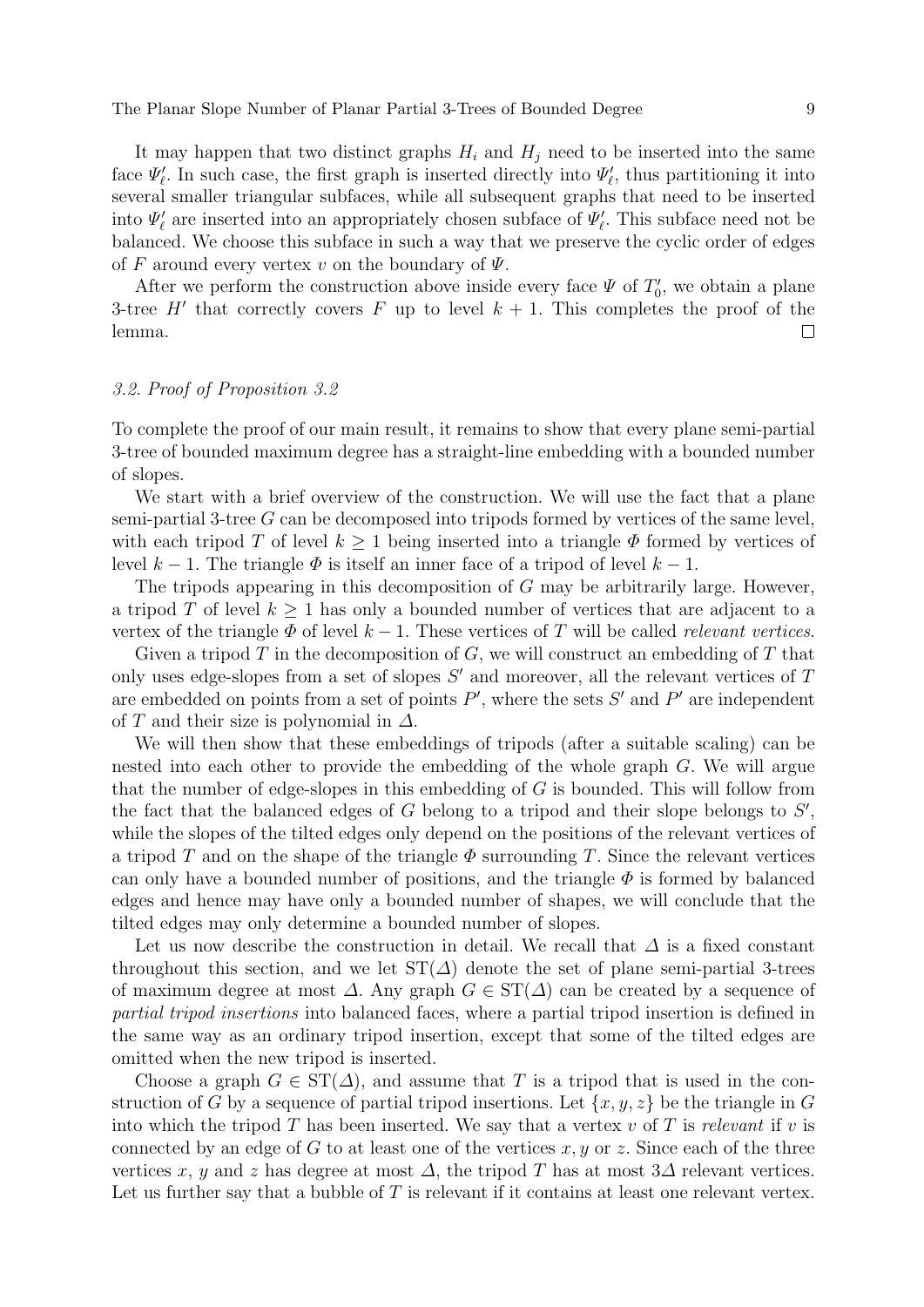The Planar Slope Number of Planar Partial 3-Trees of Bounded Degree 99

It may happen that two distinct graphs  $H_i$  and  $H_j$  need to be inserted into the same face  $\Psi'_{\ell}$ . In such case, the first graph is inserted directly into  $\Psi'_{\ell}$ , thus partitioning it into several smaller triangular subfaces, while all subsequent graphs that need to be inserted into  $\Psi'_{\ell}$  are inserted into an appropriately chosen subface of  $\Psi'_{\ell}$ . This subface need not be balanced. We choose this subface in such a way that we preserve the cyclic order of edges of F around every vertex v on the boundary of  $\Psi$ .

After we perform the construction above inside every face  $\Psi$  of  $T_0'$ , we obtain a plane 3-tree H' that correctly covers F up to level  $k + 1$ . This completes the proof of the lemma.  $\Box$ 

### 3.2. Proof of Proposition 3.2

To complete the proof of our main result, it remains to show that every plane semi-partial 3-tree of bounded maximum degree has a straight-line embedding with a bounded number of slopes.

We start with a brief overview of the construction. We will use the fact that a plane semi-partial 3-tree G can be decomposed into tripods formed by vertices of the same level, with each tripod T of level  $k \geq 1$  being inserted into a triangle  $\Phi$  formed by vertices of level  $k - 1$ . The triangle  $\Phi$  is itself an inner face of a tripod of level  $k - 1$ .

The tripods appearing in this decomposition of G may be arbitrarily large. However, a tripod T of level  $k \geq 1$  has only a bounded number of vertices that are adjacent to a vertex of the triangle  $\Phi$  of level  $k-1$ . These vertices of T will be called relevant vertices.

Given a tripod  $T$  in the decomposition of  $G$ , we will construct an embedding of  $T$  that only uses edge-slopes from a set of slopes  $S'$  and moreover, all the relevant vertices of  $T$ are embedded on points from a set of points  $P'$ , where the sets  $S'$  and  $P'$  are independent of T and their size is polynomial in  $\Delta$ .

We will then show that these embeddings of tripods (after a suitable scaling) can be nested into each other to provide the embedding of the whole graph G. We will argue that the number of edge-slopes in this embedding of G is bounded. This will follow from the fact that the balanced edges of  $G$  belong to a tripod and their slope belongs to  $S'$ , while the slopes of the tilted edges only depend on the positions of the relevant vertices of a tripod T and on the shape of the triangle  $\Phi$  surrounding T. Since the relevant vertices can only have a bounded number of positions, and the triangle  $\Phi$  is formed by balanced edges and hence may have only a bounded number of shapes, we will conclude that the tilted edges may only determine a bounded number of slopes.

Let us now describe the construction in detail. We recall that  $\Delta$  is a fixed constant throughout this section, and we let  $ST(\Delta)$  denote the set of plane semi-partial 3-trees of maximum degree at most  $\Delta$ . Any graph  $G \in ST(\Delta)$  can be created by a sequence of partial tripod insertions into balanced faces, where a partial tripod insertion is defined in the same way as an ordinary tripod insertion, except that some of the tilted edges are omitted when the new tripod is inserted.

Choose a graph  $G \in ST(\Delta)$ , and assume that T is a tripod that is used in the construction of G by a sequence of partial tripod insertions. Let  $\{x, y, z\}$  be the triangle in G into which the tripod  $T$  has been inserted. We say that a vertex  $v$  of  $T$  is relevant if  $v$  is connected by an edge of G to at least one of the vertices  $x, y$  or z. Since each of the three vertices x, y and z has degree at most  $\Delta$ , the tripod T has at most  $3\Delta$  relevant vertices. Let us further say that a bubble of T is relevant if it contains at least one relevant vertex.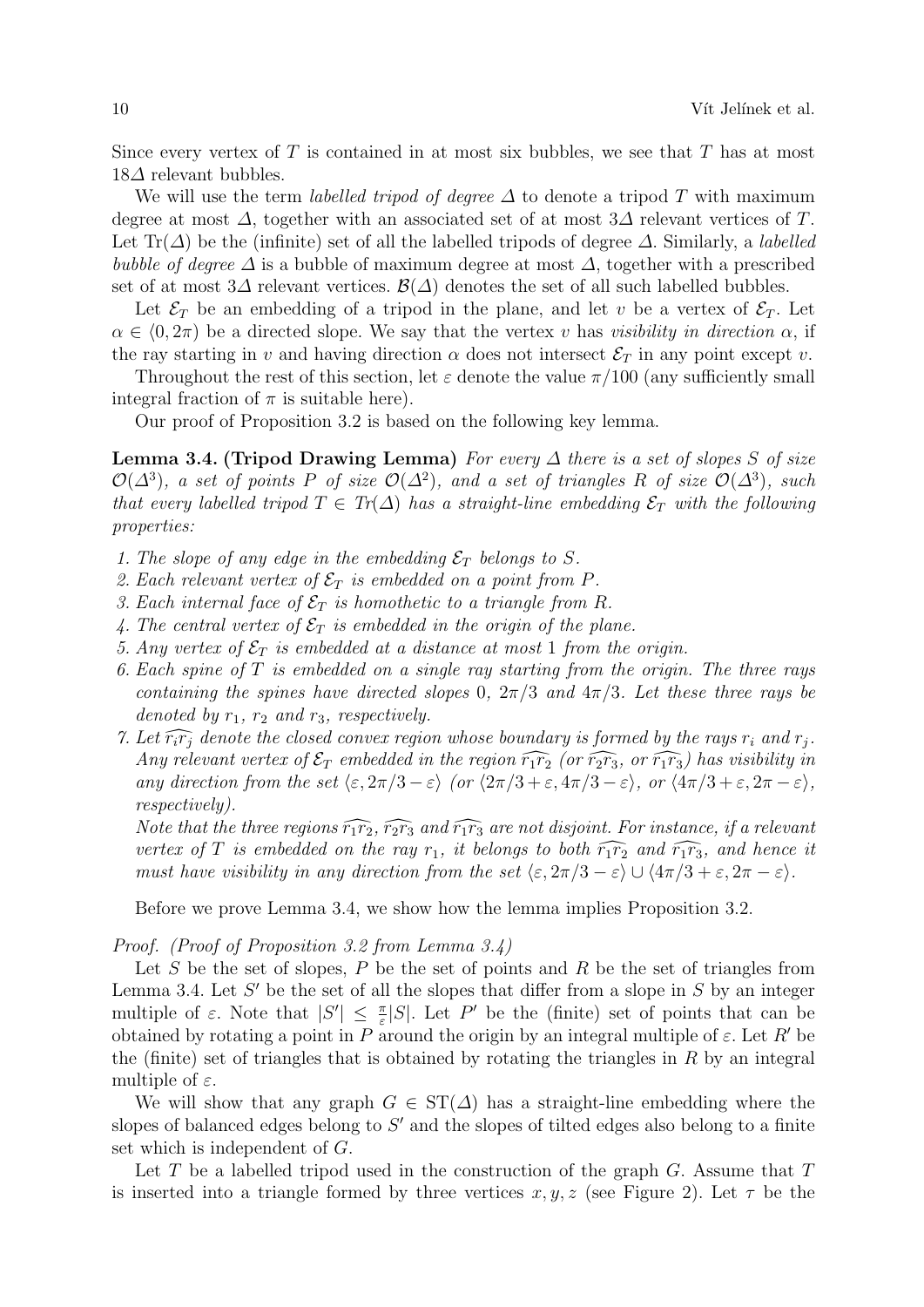Since every vertex of  $T$  is contained in at most six bubbles, we see that  $T$  has at most  $18\Delta$  relevant bubbles.

We will use the term *labelled tripod of degree*  $\Delta$  to denote a tripod T with maximum degree at most  $\Delta$ , together with an associated set of at most  $3\Delta$  relevant vertices of T. Let Tr( $\Delta$ ) be the (infinite) set of all the labelled tripods of degree  $\Delta$ . Similarly, a *labelled* bubble of degree  $\Delta$  is a bubble of maximum degree at most  $\Delta$ , together with a prescribed set of at most  $3\Delta$  relevant vertices.  $\mathcal{B}(\Delta)$  denotes the set of all such labelled bubbles.

Let  $\mathcal{E}_T$  be an embedding of a tripod in the plane, and let v be a vertex of  $\mathcal{E}_T$ . Let  $\alpha \in (0, 2\pi)$  be a directed slope. We say that the vertex v has visibility in direction  $\alpha$ , if the ray starting in v and having direction  $\alpha$  does not intersect  $\mathcal{E}_T$  in any point except v.

Throughout the rest of this section, let  $\varepsilon$  denote the value  $\pi/100$  (any sufficiently small integral fraction of  $\pi$  is suitable here).

Our proof of Proposition 3.2 is based on the following key lemma.

**Lemma 3.4. (Tripod Drawing Lemma)** For every  $\Delta$  there is a set of slopes S of size  $\mathcal{O}(\Delta^3)$ , a set of points P of size  $\mathcal{O}(\Delta^2)$ , and a set of triangles R of size  $\mathcal{O}(\Delta^3)$ , such that every labelled tripod  $T \in Tr(\Delta)$  has a straight-line embedding  $\mathcal{E}_T$  with the following properties:

- 1. The slope of any edge in the embedding  $\mathcal{E}_T$  belongs to S.
- 2. Each relevant vertex of  $\mathcal{E}_T$  is embedded on a point from P.
- 3. Each internal face of  $\mathcal{E}_T$  is homothetic to a triangle from R.
- 4. The central vertex of  $\mathcal{E}_T$  is embedded in the origin of the plane.
- 5. Any vertex of  $\mathcal{E}_T$  is embedded at a distance at most 1 from the origin.
- 6. Each spine of  $T$  is embedded on a single ray starting from the origin. The three rays containing the spines have directed slopes 0,  $2\pi/3$  and  $4\pi/3$ . Let these three rays be denoted by  $r_1$ ,  $r_2$  and  $r_3$ , respectively.
- 7. Let  $\widehat{r_ir_j}$  denote the closed convex region whose boundary is formed by the rays  $r_i$  and  $r_j$ . Any relevant vertex of  $\mathcal{E}_T$  embedded in the region  $\widehat{r_1r_2}$  (or  $\widehat{r_2r_3}$ , or  $\widehat{r_1r_3}$ ) has visibility in any direction from the set  $\langle \varepsilon, 2\pi/3 - \varepsilon \rangle$  (or  $\langle 2\pi/3 + \varepsilon, 4\pi/3 - \varepsilon \rangle$ , or  $\langle 4\pi/3 + \varepsilon, 2\pi - \varepsilon \rangle$ , respectively).

Note that the three regions  $\widehat{r_1r_2}$ ,  $\widehat{r_2r_3}$  and  $\widehat{r_1r_3}$  are not disjoint. For instance, if a relevant vertex of T is embedded on the ray  $r_1$ , it belongs to both  $\widehat{r_1r_2}$  and  $\widehat{r_1r_3}$ , and hence it must have visibility in any direction from the set  $\langle \varepsilon, 2\pi/3 - \varepsilon \rangle \cup \langle 4\pi/3 + \varepsilon, 2\pi - \varepsilon \rangle$ .

Before we prove Lemma 3.4, we show how the lemma implies Proposition 3.2.

Proof. (Proof of Proposition 3.2 from Lemma 3.4)

Let S be the set of slopes, P be the set of points and R be the set of triangles from Lemma 3.4. Let  $S'$  be the set of all the slopes that differ from a slope in  $S$  by an integer multiple of  $\varepsilon$ . Note that  $|S'| \leq \frac{\pi}{\varepsilon}|S|$ . Let P' be the (finite) set of points that can be obtained by rotating a point in P around the origin by an integral multiple of  $\varepsilon$ . Let R' be the (finite) set of triangles that is obtained by rotating the triangles in  $R$  by an integral multiple of  $\varepsilon$ .

We will show that any graph  $G \in ST(\Delta)$  has a straight-line embedding where the slopes of balanced edges belong to  $S'$  and the slopes of tilted edges also belong to a finite set which is independent of G.

Let T be a labelled tripod used in the construction of the graph  $G$ . Assume that  $T$ is inserted into a triangle formed by three vertices  $x, y, z$  (see Figure 2). Let  $\tau$  be the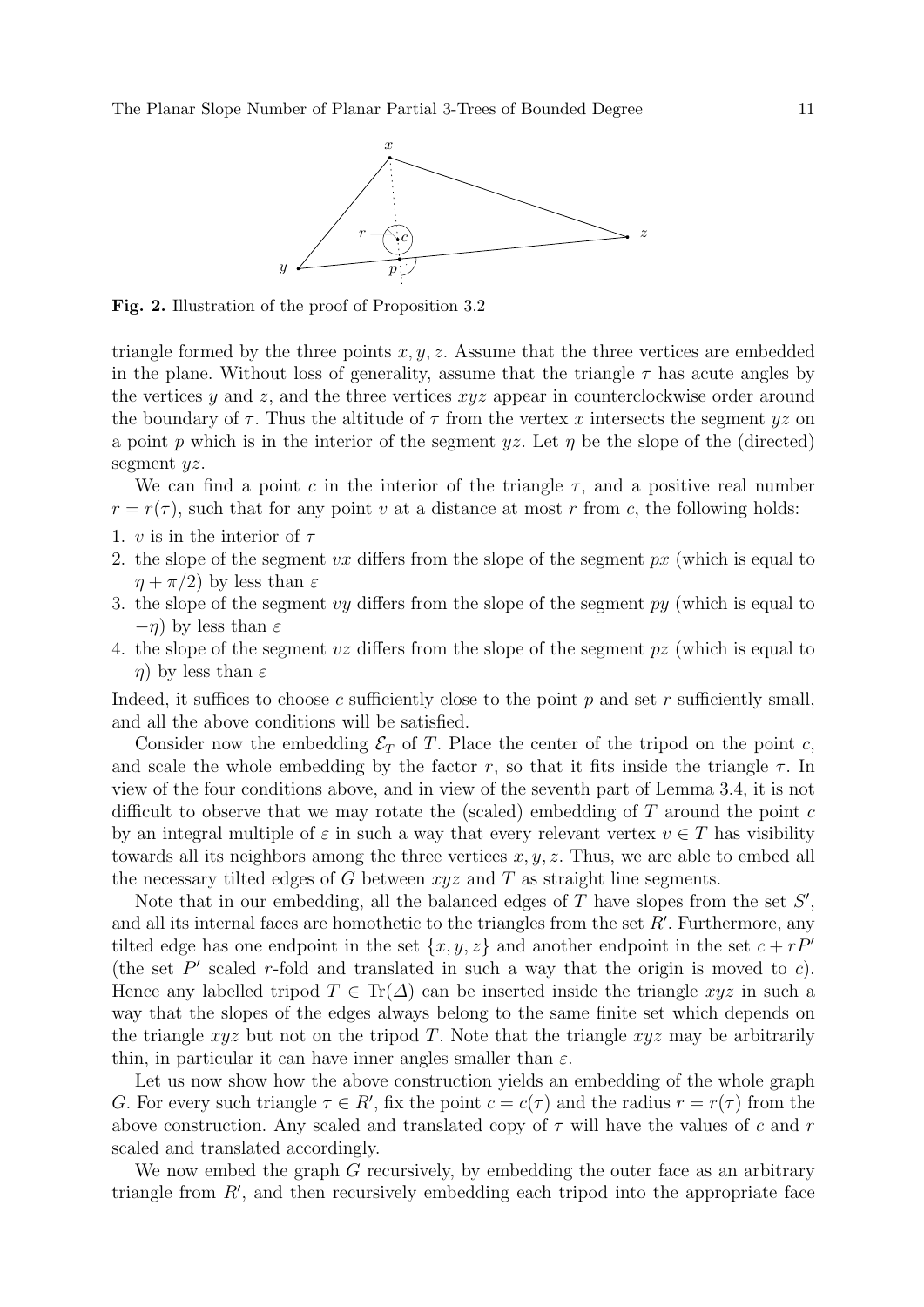

Fig. 2. Illustration of the proof of Proposition 3.2

triangle formed by the three points  $x, y, z$ . Assume that the three vertices are embedded in the plane. Without loss of generality, assume that the triangle  $\tau$  has acute angles by the vertices y and z, and the three vertices  $xyz$  appear in counterclockwise order around the boundary of  $\tau$ . Thus the altitude of  $\tau$  from the vertex x intersects the segment yz on a point p which is in the interior of the segment yz. Let  $\eta$  be the slope of the (directed) segment  $yz$ .

We can find a point c in the interior of the triangle  $\tau$ , and a positive real number  $r = r(\tau)$ , such that for any point v at a distance at most r from c, the following holds:

- 1. v is in the interior of  $\tau$
- 2. the slope of the segment vx differs from the slope of the segment  $px$  (which is equal to  $\eta + \pi/2$ ) by less than  $\varepsilon$
- 3. the slope of the segment vy differs from the slope of the segment  $py$  (which is equal to  $-\eta$ ) by less than  $\varepsilon$
- 4. the slope of the segment  $v\bar{z}$  differs from the slope of the segment  $p\bar{z}$  (which is equal to  $η$ ) by less than  $ε$

Indeed, it suffices to choose c sufficiently close to the point p and set r sufficiently small, and all the above conditions will be satisfied.

Consider now the embedding  $\mathcal{E}_T$  of T. Place the center of the tripod on the point c, and scale the whole embedding by the factor r, so that it fits inside the triangle  $\tau$ . In view of the four conditions above, and in view of the seventh part of Lemma 3.4, it is not difficult to observe that we may rotate the (scaled) embedding of  $T$  around the point  $c$ by an integral multiple of  $\varepsilon$  in such a way that every relevant vertex  $v \in T$  has visibility towards all its neighbors among the three vertices  $x, y, z$ . Thus, we are able to embed all the necessary tilted edges of G between  $xyz$  and T as straight line segments.

Note that in our embedding, all the balanced edges of  $T$  have slopes from the set  $S'$ , and all its internal faces are homothetic to the triangles from the set  $R'$ . Furthermore, any tilted edge has one endpoint in the set  $\{x, y, z\}$  and another endpoint in the set  $c + rP<sup>0</sup>$ (the set  $P'$  scaled r-fold and translated in such a way that the origin is moved to c). Hence any labelled tripod  $T \in \text{Tr}(\Delta)$  can be inserted inside the triangle xyz in such a way that the slopes of the edges always belong to the same finite set which depends on the triangle xyz but not on the tripod T. Note that the triangle  $xyz$  may be arbitrarily thin, in particular it can have inner angles smaller than  $\varepsilon$ .

Let us now show how the above construction yields an embedding of the whole graph G. For every such triangle  $\tau \in R'$ , fix the point  $c = c(\tau)$  and the radius  $r = r(\tau)$  from the above construction. Any scaled and translated copy of  $\tau$  will have the values of c and r scaled and translated accordingly.

We now embed the graph G recursively, by embedding the outer face as an arbitrary triangle from  $R'$ , and then recursively embedding each tripod into the appropriate face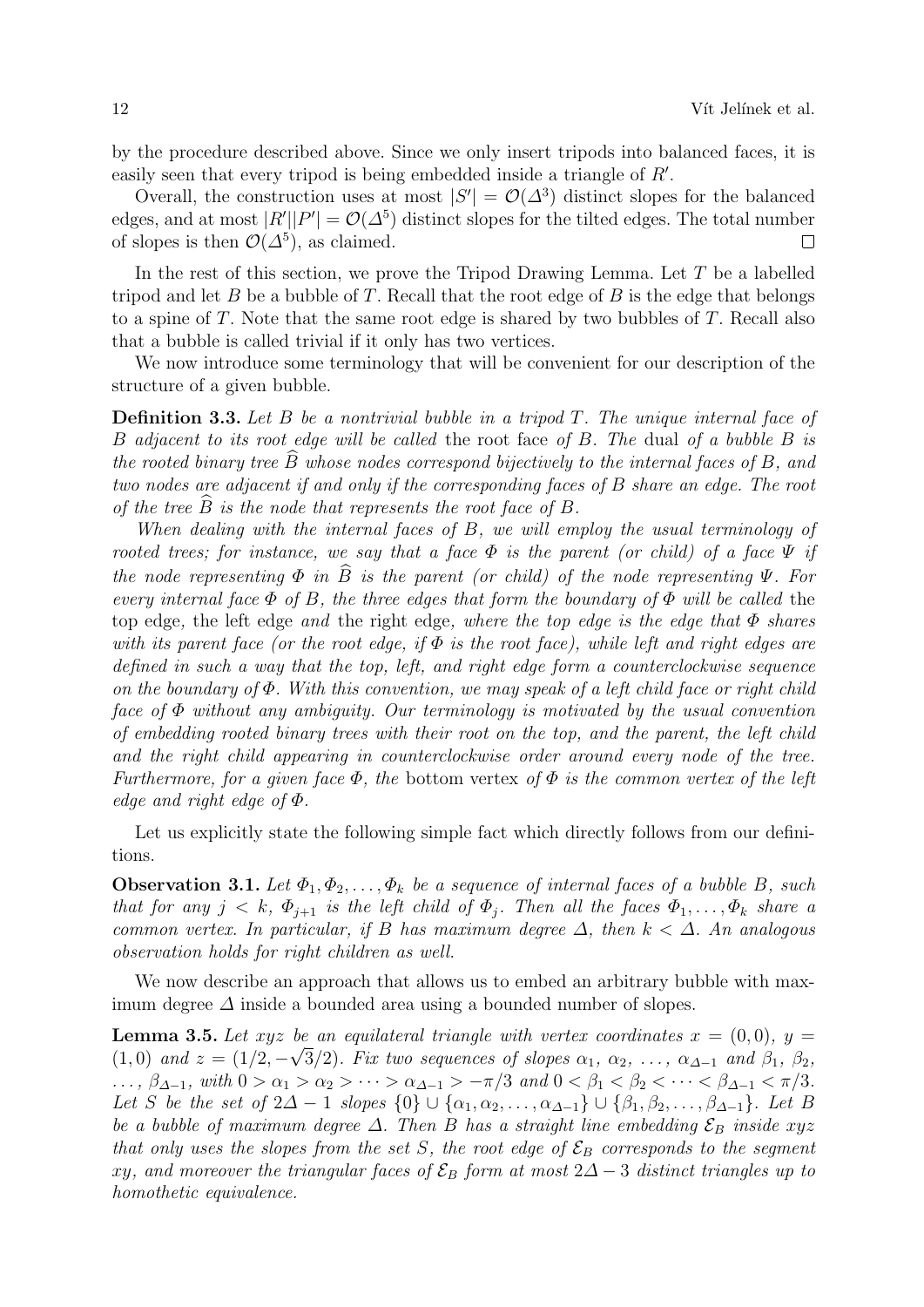by the procedure described above. Since we only insert tripods into balanced faces, it is easily seen that every tripod is being embedded inside a triangle of  $R'$ .

Overall, the construction uses at most  $|S'| = \mathcal{O}(\Delta^3)$  distinct slopes for the balanced edges, and at most  $|R'||P'| = \mathcal{O}(\Delta^5)$  distinct slopes for the tilted edges. The total number of slopes is then  $\mathcal{O}(\Delta^5)$ , as claimed.  $\Box$ 

In the rest of this section, we prove the Tripod Drawing Lemma. Let  $T$  be a labelled tripod and let  $B$  be a bubble of  $T$ . Recall that the root edge of  $B$  is the edge that belongs to a spine of  $T$ . Note that the same root edge is shared by two bubbles of  $T$ . Recall also that a bubble is called trivial if it only has two vertices.

We now introduce some terminology that will be convenient for our description of the structure of a given bubble.

**Definition 3.3.** Let  $B$  be a nontrivial bubble in a tripod  $T$ . The unique internal face of B adjacent to its root edge will be called the root face of B. The dual of a bubble B is the rooted binary tree  $\hat{B}$  whose nodes correspond bijectively to the internal faces of  $B$ , and two nodes are adjacent if and only if the corresponding faces of B share an edge. The root of the tree  $\overline{B}$  is the node that represents the root face of  $B$ .

When dealing with the internal faces of B, we will employ the usual terminology of rooted trees; for instance, we say that a face  $\Phi$  is the parent (or child) of a face  $\Psi$  if the node representing  $\Phi$  in  $\widehat{B}$  is the parent (or child) of the node representing  $\Psi$ . For every internal face  $\Phi$  of B, the three edges that form the boundary of  $\Phi$  will be called the top edge, the left edge and the right edge, where the top edge is the edge that  $\Phi$  shares with its parent face (or the root edge, if  $\Phi$  is the root face), while left and right edges are defined in such a way that the top, left, and right edge form a counterclockwise sequence on the boundary of  $\Phi$ . With this convention, we may speak of a left child face or right child face of  $\Phi$  without any ambiguity. Our terminology is motivated by the usual convention of embedding rooted binary trees with their root on the top, and the parent, the left child and the right child appearing in counterclockwise order around every node of the tree. Furthermore, for a given face  $\Phi$ , the bottom vertex of  $\Phi$  is the common vertex of the left edge and right edge of Φ.

Let us explicitly state the following simple fact which directly follows from our definitions.

**Observation 3.1.** Let  $\Phi_1, \Phi_2, \ldots, \Phi_k$  be a sequence of internal faces of a bubble B, such that for any  $j < k$ ,  $\Phi_{i+1}$  is the left child of  $\Phi_i$ . Then all the faces  $\Phi_1, \ldots, \Phi_k$  share a common vertex. In particular, if B has maximum degree  $\Delta$ , then  $k < \Delta$ . An analogous observation holds for right children as well.

We now describe an approach that allows us to embed an arbitrary bubble with maximum degree  $\Delta$  inside a bounded area using a bounded number of slopes.

**Lemma 3.5.** Let  $xyz$  be an equilateral triangle with vertex coordinates  $x = (0,0)$ ,  $y =$  $(1,0)$  and  $z = (1/2, -\sqrt{3}/2)$ . Fix two sequences of slopes  $\alpha_1, \alpha_2, \ldots, \alpha_{\Delta-1}$  and  $\beta_1, \beta_2$ , ...,  $\beta_{\Delta-1}$ , with  $0 > \alpha_1 > \alpha_2 > \cdots > \alpha_{\Delta-1} > -\pi/3$  and  $0 < \beta_1 < \beta_2 < \cdots < \beta_{\Delta-1} < \pi/3$ . Let S be the set of  $2\Delta - 1$  slopes  $\{0\} \cup \{\alpha_1, \alpha_2, \ldots, \alpha_{\Delta-1}\} \cup \{\beta_1, \beta_2, \ldots, \beta_{\Delta-1}\}.$  Let B be a bubble of maximum degree  $\Delta$ . Then B has a straight line embedding  $\mathcal{E}_B$  inside xyz that only uses the slopes from the set S, the root edge of  $\mathcal{E}_B$  corresponds to the segment xy, and moreover the triangular faces of  $\mathcal{E}_B$  form at most 2∆ − 3 distinct triangles up to homothetic equivalence.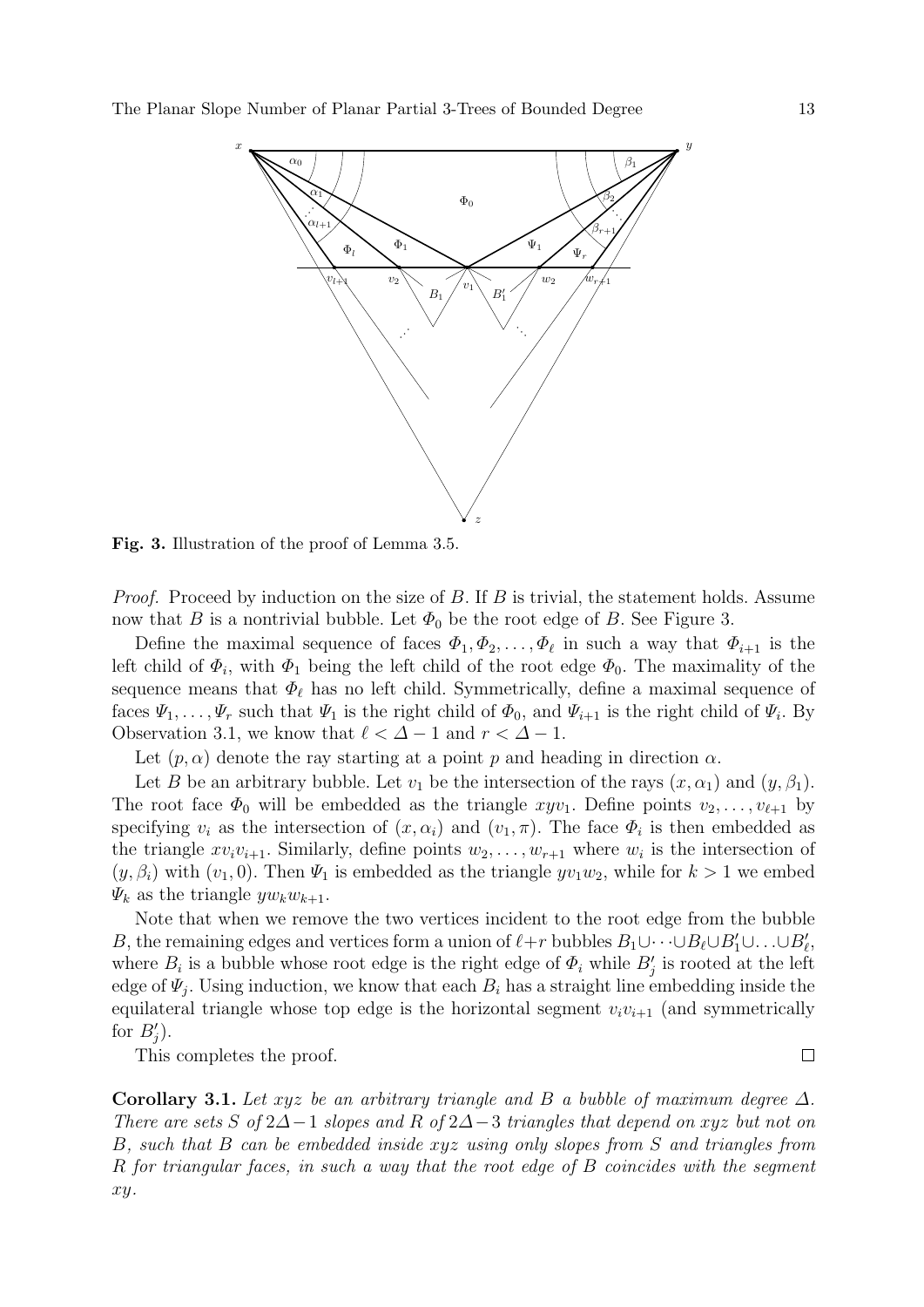

Fig. 3. Illustration of the proof of Lemma 3.5.

*Proof.* Proceed by induction on the size of  $B$ . If  $B$  is trivial, the statement holds. Assume now that B is a nontrivial bubble. Let  $\Phi_0$  be the root edge of B. See Figure 3.

Define the maximal sequence of faces  $\Phi_1, \Phi_2, \ldots, \Phi_\ell$  in such a way that  $\Phi_{i+1}$  is the left child of  $\Phi_i$ , with  $\Phi_1$  being the left child of the root edge  $\Phi_0$ . The maximality of the sequence means that  $\Phi_{\ell}$  has no left child. Symmetrically, define a maximal sequence of faces  $\Psi_1, \ldots, \Psi_r$  such that  $\Psi_1$  is the right child of  $\Phi_0$ , and  $\Psi_{i+1}$  is the right child of  $\Psi_i$ . By Observation 3.1, we know that  $\ell < \Delta - 1$  and  $r < \Delta - 1$ .

Let  $(p, \alpha)$  denote the ray starting at a point p and heading in direction  $\alpha$ .

Let B be an arbitrary bubble. Let  $v_1$  be the intersection of the rays  $(x, \alpha_1)$  and  $(y, \beta_1)$ . The root face  $\Phi_0$  will be embedded as the triangle  $xyv_1$ . Define points  $v_2, \ldots, v_{\ell+1}$  by specifying  $v_i$  as the intersection of  $(x, \alpha_i)$  and  $(v_1, \pi)$ . The face  $\Phi_i$  is then embedded as the triangle  $xv_iv_{i+1}$ . Similarly, define points  $w_2, \ldots, w_{r+1}$  where  $w_i$  is the intersection of  $(y, \beta_i)$  with  $(v_1, 0)$ . Then  $\Psi_1$  is embedded as the triangle  $yv_1w_2$ , while for  $k > 1$  we embed  $\Psi_k$  as the triangle  $yw_kw_{k+1}$ .

Note that when we remove the two vertices incident to the root edge from the bubble B, the remaining edges and vertices form a union of  $\ell+r$  bubbles  $B_1\cup\dots\cup B_\ell\cup B'_1\cup\dots\cup B'_\ell$ , where  $B_i$  is a bubble whose root edge is the right edge of  $\Phi_i$  while  $B'_j$  is rooted at the left edge of  $\Psi_j$ . Using induction, we know that each  $B_i$  has a straight line embedding inside the equilateral triangle whose top edge is the horizontal segment  $v_i v_{i+1}$  (and symmetrically for  $B'_j$ ).

This completes the proof.

Corollary 3.1. Let xyz be an arbitrary triangle and B a bubble of maximum degree  $\Delta$ . There are sets S of 2∆−1 slopes and R of 2∆−3 triangles that depend on xyz but not on B, such that B can be embedded inside xyz using only slopes from S and triangles from R for triangular faces, in such a way that the root edge of B coincides with the segment xy.

 $\Box$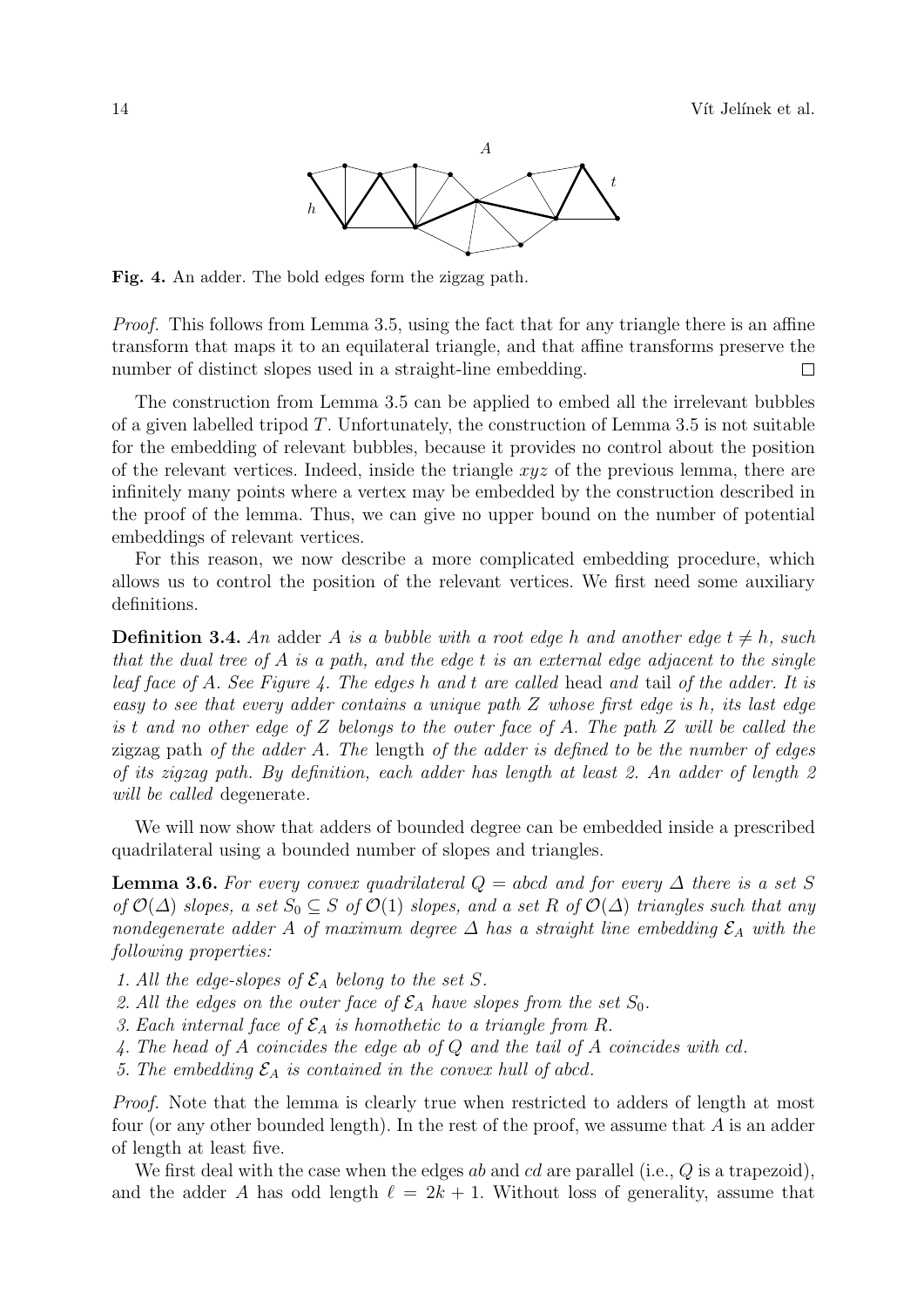

Fig. 4. An adder. The bold edges form the zigzag path.

Proof. This follows from Lemma 3.5, using the fact that for any triangle there is an affine transform that maps it to an equilateral triangle, and that affine transforms preserve the number of distinct slopes used in a straight-line embedding.  $\Box$ 

The construction from Lemma 3.5 can be applied to embed all the irrelevant bubbles of a given labelled tripod  $T$ . Unfortunately, the construction of Lemma 3.5 is not suitable for the embedding of relevant bubbles, because it provides no control about the position of the relevant vertices. Indeed, inside the triangle  $xyz$  of the previous lemma, there are infinitely many points where a vertex may be embedded by the construction described in the proof of the lemma. Thus, we can give no upper bound on the number of potential embeddings of relevant vertices.

For this reason, we now describe a more complicated embedding procedure, which allows us to control the position of the relevant vertices. We first need some auxiliary definitions.

**Definition 3.4.** An adder A is a bubble with a root edge h and another edge  $t \neq h$ , such that the dual tree of  $A$  is a path, and the edge  $t$  is an external edge adjacent to the single leaf face of A. See Figure 4. The edges h and t are called head and tail of the adder. It is easy to see that every adder contains a unique path Z whose first edge is h, its last edge is t and no other edge of Z belongs to the outer face of A. The path Z will be called the zigzag path of the adder A. The length of the adder is defined to be the number of edges of its zigzag path. By definition, each adder has length at least 2. An adder of length 2 will be called degenerate.

We will now show that adders of bounded degree can be embedded inside a prescribed quadrilateral using a bounded number of slopes and triangles.

**Lemma 3.6.** For every convex quadrilateral  $Q = abcd$  and for every  $\Delta$  there is a set S of  $\mathcal{O}(\Delta)$  slopes, a set  $S_0 \subseteq S$  of  $\mathcal{O}(1)$  slopes, and a set R of  $\mathcal{O}(\Delta)$  triangles such that any nondegenerate adder A of maximum degree  $\Delta$  has a straight line embedding  $\mathcal{E}_A$  with the following properties:

- 1. All the edge-slopes of  $\mathcal{E}_A$  belong to the set S.
- 2. All the edges on the outer face of  $\mathcal{E}_A$  have slopes from the set  $S_0$ .
- 3. Each internal face of  $\mathcal{E}_A$  is homothetic to a triangle from R.
- 4. The head of A coincides the edge ab of Q and the tail of A coincides with cd.
- 5. The embedding  $\mathcal{E}_A$  is contained in the convex hull of abcd.

Proof. Note that the lemma is clearly true when restricted to adders of length at most four (or any other bounded length). In the rest of the proof, we assume that A is an adder of length at least five.

We first deal with the case when the edges ab and cd are parallel (i.e.,  $Q$  is a trapezoid), and the adder A has odd length  $\ell = 2k + 1$ . Without loss of generality, assume that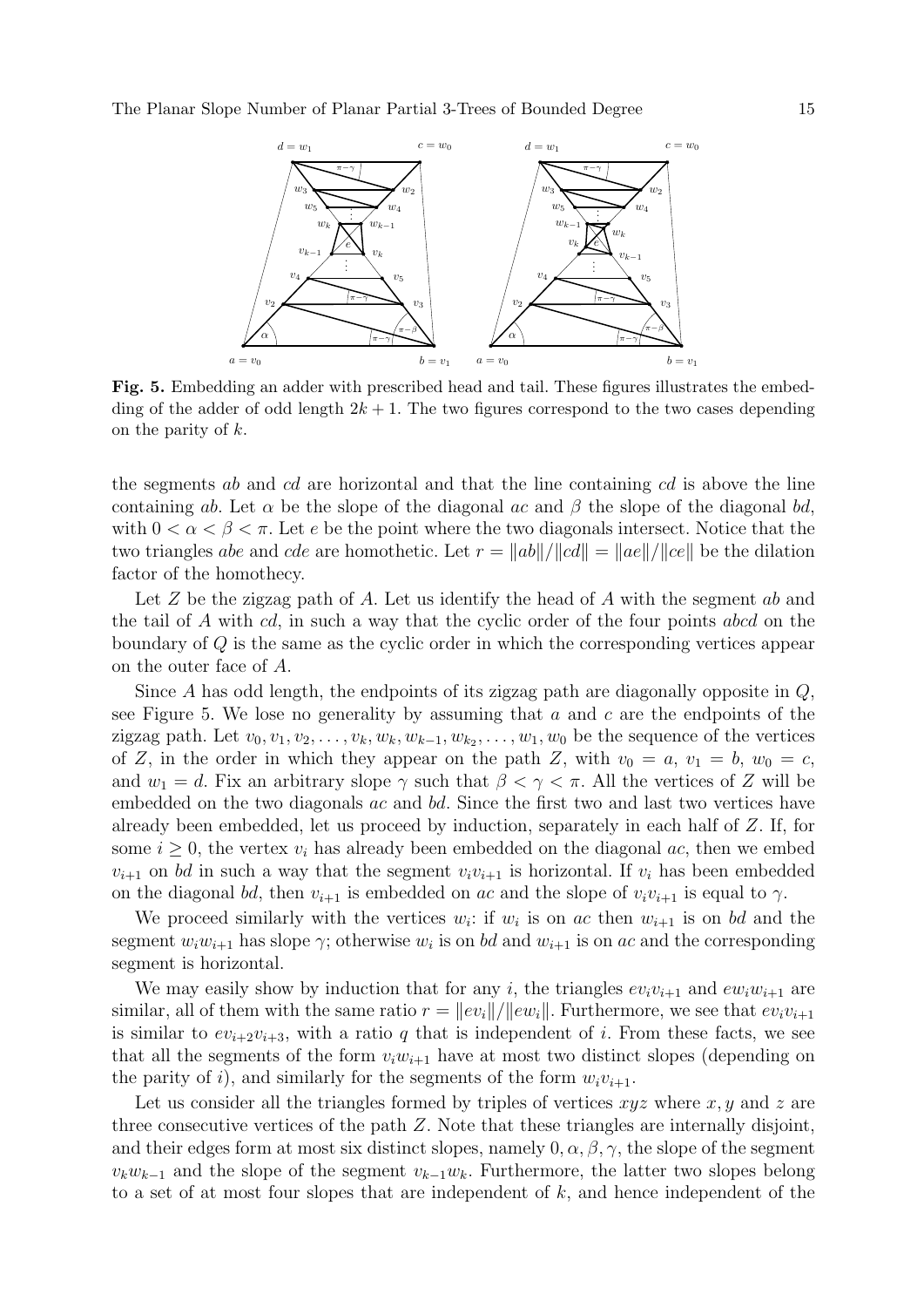

Fig. 5. Embedding an adder with prescribed head and tail. These figures illustrates the embedding of the adder of odd length  $2k + 1$ . The two figures correspond to the two cases depending on the parity of k.

the segments ab and cd are horizontal and that the line containing cd is above the line containing ab. Let  $\alpha$  be the slope of the diagonal ac and  $\beta$  the slope of the diagonal bd, with  $0 < \alpha < \beta < \pi$ . Let e be the point where the two diagonals intersect. Notice that the two triangles abe and cde are homothetic. Let  $r = ||ab||/||cd|| = ||ae||/||ce||$  be the dilation factor of the homothecy.

Let  $Z$  be the zigzag path of  $A$ . Let us identify the head of  $A$  with the segment  $ab$  and the tail of A with cd, in such a way that the cyclic order of the four points abcd on the boundary of  $Q$  is the same as the cyclic order in which the corresponding vertices appear on the outer face of A.

Since  $A$  has odd length, the endpoints of its zigzag path are diagonally opposite in  $Q$ , see Figure 5. We lose no generality by assuming that  $a$  and  $c$  are the endpoints of the zigzag path. Let  $v_0, v_1, v_2, \ldots, v_k, w_k, w_{k-1}, w_{k_2}, \ldots, w_1, w_0$  be the sequence of the vertices of Z, in the order in which they appear on the path Z, with  $v_0 = a, v_1 = b, w_0 = c$ , and  $w_1 = d$ . Fix an arbitrary slope  $\gamma$  such that  $\beta < \gamma < \pi$ . All the vertices of Z will be embedded on the two diagonals ac and bd. Since the first two and last two vertices have already been embedded, let us proceed by induction, separately in each half of Z. If, for some  $i \geq 0$ , the vertex  $v_i$  has already been embedded on the diagonal ac, then we embed  $v_{i+1}$  on bd in such a way that the segment  $v_i v_{i+1}$  is horizontal. If  $v_i$  has been embedded on the diagonal bd, then  $v_{i+1}$  is embedded on ac and the slope of  $v_i v_{i+1}$  is equal to  $\gamma$ .

We proceed similarly with the vertices  $w_i$ : if  $w_i$  is on ac then  $w_{i+1}$  is on bd and the segment  $w_i w_{i+1}$  has slope  $\gamma$ ; otherwise  $w_i$  is on bd and  $w_{i+1}$  is on ac and the corresponding segment is horizontal.

We may easily show by induction that for any i, the triangles  $ev_i v_{i+1}$  and  $ev_i w_{i+1}$  are similar, all of them with the same ratio  $r = ||ev_i||/||ew_i||$ . Furthermore, we see that  $ev_i v_{i+1}$ is similar to  $ev_{i+2}v_{i+3}$ , with a ratio q that is independent of i. From these facts, we see that all the segments of the form  $v_iw_{i+1}$  have at most two distinct slopes (depending on the parity of i), and similarly for the segments of the form  $w_i v_{i+1}$ .

Let us consider all the triangles formed by triples of vertices  $xyz$  where  $x, y$  and z are three consecutive vertices of the path Z. Note that these triangles are internally disjoint, and their edges form at most six distinct slopes, namely  $0, \alpha, \beta, \gamma$ , the slope of the segment  $v_kw_{k-1}$  and the slope of the segment  $v_{k-1}w_k$ . Furthermore, the latter two slopes belong to a set of at most four slopes that are independent of k, and hence independent of the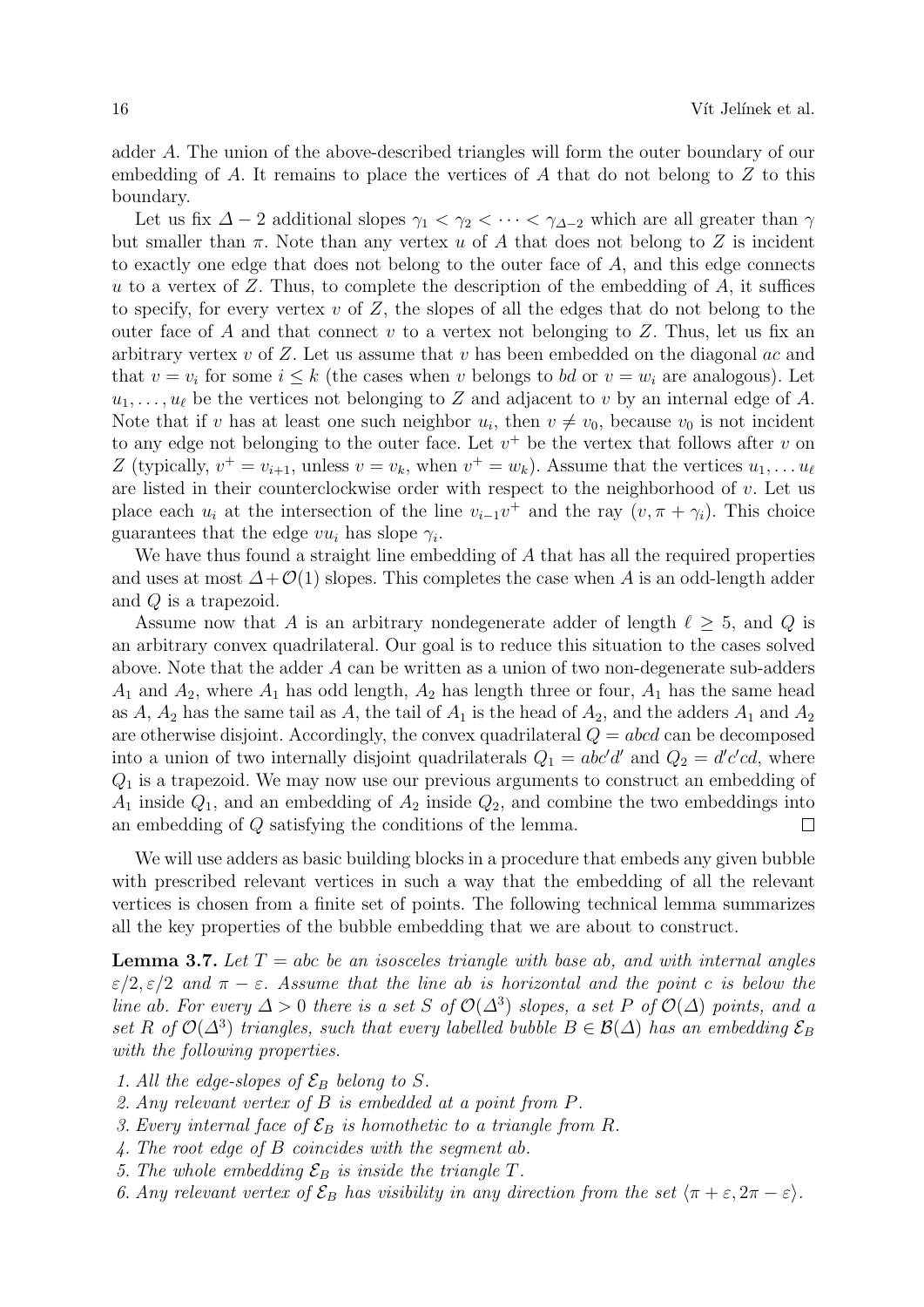adder A. The union of the above-described triangles will form the outer boundary of our embedding of A. It remains to place the vertices of A that do not belong to  $Z$  to this boundary.

Let us fix  $\Delta - 2$  additional slopes  $\gamma_1 < \gamma_2 < \cdots < \gamma_{\Delta-2}$  which are all greater than  $\gamma$ but smaller than  $\pi$ . Note than any vertex u of A that does not belong to Z is incident to exactly one edge that does not belong to the outer face of  $A$ , and this edge connects u to a vertex of  $Z$ . Thus, to complete the description of the embedding of  $A$ , it suffices to specify, for every vertex v of  $Z$ , the slopes of all the edges that do not belong to the outer face of A and that connect v to a vertex not belonging to  $Z$ . Thus, let us fix an arbitrary vertex v of Z. Let us assume that v has been embedded on the diagonal ac and that  $v = v_i$  for some  $i \leq k$  (the cases when v belongs to bd or  $v = w_i$  are analogous). Let  $u_1, \ldots, u_\ell$  be the vertices not belonging to Z and adjacent to v by an internal edge of A. Note that if v has at least one such neighbor  $u_i$ , then  $v \neq v_0$ , because  $v_0$  is not incident to any edge not belonging to the outer face. Let  $v^+$  be the vertex that follows after v on Z (typically,  $v^+ = v_{i+1}$ , unless  $v = v_k$ , when  $v^+ = w_k$ ). Assume that the vertices  $u_1, \ldots u_\ell$ are listed in their counterclockwise order with respect to the neighborhood of  $v$ . Let us place each  $u_i$  at the intersection of the line  $v_{i-1}v^+$  and the ray  $(v, \pi + \gamma_i)$ . This choice guarantees that the edge  $vu_i$  has slope  $\gamma_i$ .

We have thus found a straight line embedding of A that has all the required properties and uses at most  $\Delta + \mathcal{O}(1)$  slopes. This completes the case when A is an odd-length adder and Q is a trapezoid.

Assume now that A is an arbitrary nondegenerate adder of length  $\ell \geq 5$ , and Q is an arbitrary convex quadrilateral. Our goal is to reduce this situation to the cases solved above. Note that the adder A can be written as a union of two non-degenerate sub-adders  $A_1$  and  $A_2$ , where  $A_1$  has odd length,  $A_2$  has length three or four,  $A_1$  has the same head as A,  $A_2$  has the same tail as A, the tail of  $A_1$  is the head of  $A_2$ , and the adders  $A_1$  and  $A_2$ are otherwise disjoint. Accordingly, the convex quadrilateral  $Q = abcd$  can be decomposed into a union of two internally disjoint quadrilaterals  $Q_1 = abc'd'$  and  $Q_2 = d'c'cd$ , where  $Q_1$  is a trapezoid. We may now use our previous arguments to construct an embedding of  $A_1$  inside  $Q_1$ , and an embedding of  $A_2$  inside  $Q_2$ , and combine the two embeddings into an embedding of Q satisfying the conditions of the lemma.  $\Box$ 

We will use adders as basic building blocks in a procedure that embeds any given bubble with prescribed relevant vertices in such a way that the embedding of all the relevant vertices is chosen from a finite set of points. The following technical lemma summarizes all the key properties of the bubble embedding that we are about to construct.

**Lemma 3.7.** Let  $T = abc$  be an isosceles triangle with base ab, and with internal angles  $\varepsilon/2$ ,  $\varepsilon/2$  and  $\pi - \varepsilon$ . Assume that the line ab is horizontal and the point c is below the line ab. For every  $\Delta > 0$  there is a set S of  $\mathcal{O}(\Delta^3)$  slopes, a set P of  $\mathcal{O}(\Delta)$  points, and a set R of  $\mathcal{O}(\Delta^3)$  triangles, such that every labelled bubble  $B \in \mathcal{B}(\Delta)$  has an embedding  $\mathcal{E}_B$ with the following properties.

- 1. All the edge-slopes of  $\mathcal{E}_B$  belong to S.
- 2. Any relevant vertex of B is embedded at a point from P.
- 3. Every internal face of  $\mathcal{E}_B$  is homothetic to a triangle from R.
- 4. The root edge of B coincides with the segment ab.
- 5. The whole embedding  $\mathcal{E}_B$  is inside the triangle T.
- 6. Any relevant vertex of  $\mathcal{E}_B$  has visibility in any direction from the set  $\langle \pi + \varepsilon, 2\pi \varepsilon \rangle$ .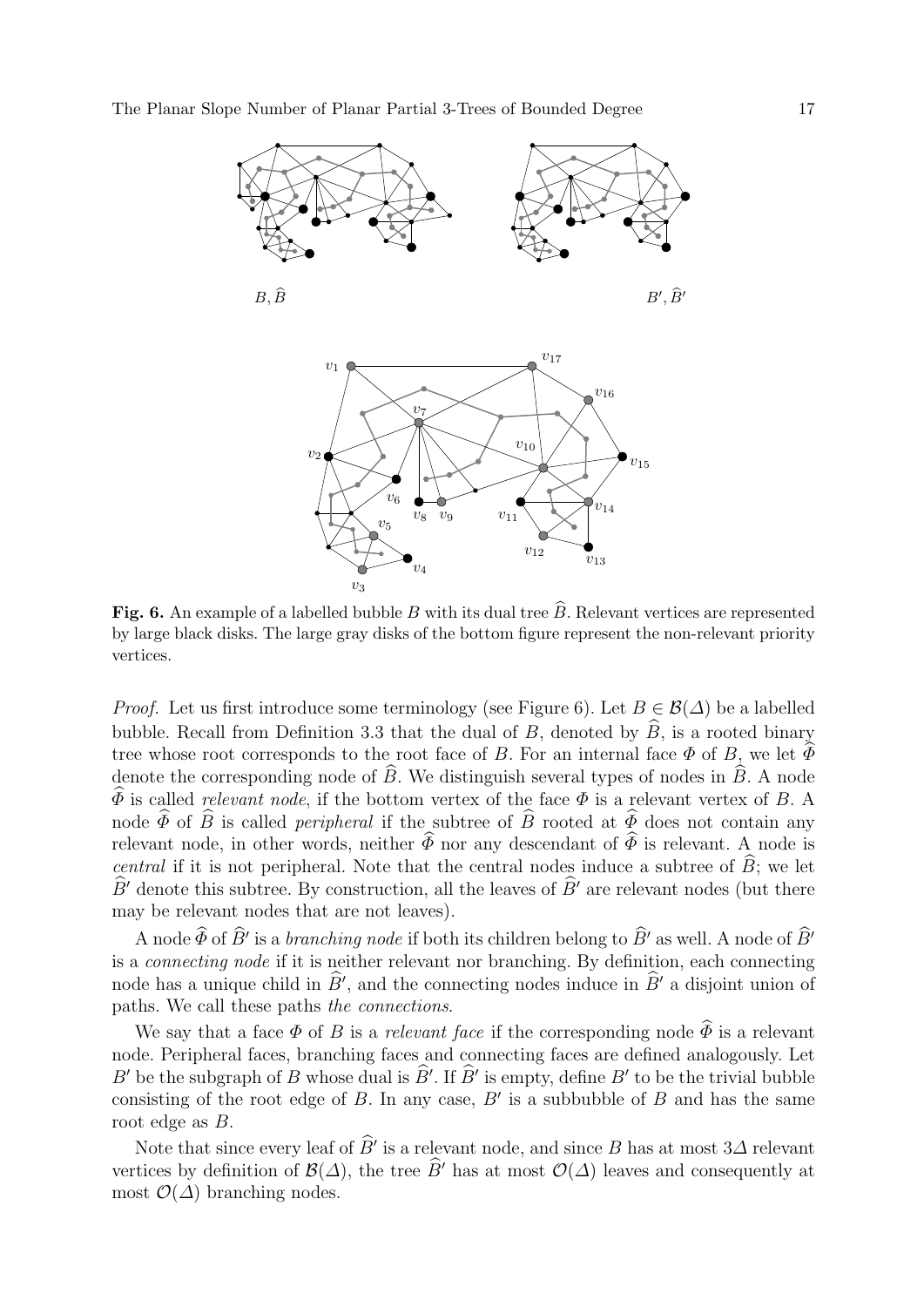

Fig. 6. An example of a labelled bubble B with its dual tree  $\hat{B}$ . Relevant vertices are represented by large black disks. The large gray disks of the bottom figure represent the non-relevant priority vertices.

*Proof.* Let us first introduce some terminology (see Figure 6). Let  $B \in \mathcal{B}(\Delta)$  be a labelled bubble. Recall from Definition 3.3 that the dual of B, denoted by  $\widehat{B}$ , is a rooted binary tree whose root corresponds to the root face of B. For an internal face  $\Phi$  of B, we let  $\widehat{\Phi}$ denote the corresponding node of  $\widehat{B}$ . We distinguish several types of nodes in  $\widehat{B}$ . A node  $\widehat{\Phi}$  is called *relevant node*, if the bottom vertex of the face  $\Phi$  is a relevant vertex of B. A node  $\widetilde{\Phi}$  of  $\widetilde{B}$  is called *peripheral* if the subtree of  $\widetilde{B}$  rooted at  $\widetilde{\Phi}$  does not contain any relevant node, in other words, neither  $\widehat{\Phi}$  nor any descendant of  $\widehat{\Phi}$  is relevant. A node is central if it is not peripheral. Note that the central nodes induce a subtree of  $\hat{B}$ ; we let  $B'$  denote this subtree. By construction, all the leaves of  $B'$  are relevant nodes (but there may be relevant nodes that are not leaves).

A node  $\widehat{\Phi}$  of  $\widehat{B}'$  is a *branching node* if both its children belong to  $\widehat{B}'$  as well. A node of  $\widehat{B}'$ is a connecting node if it is neither relevant nor branching. By definition, each connecting node has a unique child in  $\hat{B}'$ , and the connecting nodes induce in  $\hat{B}'$  a disjoint union of paths. We call these paths the connections.

We say that a face  $\Phi$  of B is a relevant face if the corresponding node  $\widehat{\Phi}$  is a relevant node. Peripheral faces, branching faces and connecting faces are defined analogously. Let B' be the subgraph of B whose dual is  $\widehat{B}'$ . If  $\widehat{B}'$  is empty, define B' to be the trivial bubble consisting of the root edge of  $B$ . In any case,  $B'$  is a subbubble of  $B$  and has the same root edge as B.

Note that since every leaf of  $\widehat{B}'$  is a relevant node, and since B has at most  $3\Delta$  relevant vertices by definition of  $\mathcal{B}(\Delta)$ , the tree  $\widehat{B}$ <sup>'</sup> has at most  $\mathcal{O}(\Delta)$  leaves and consequently at most  $\mathcal{O}(\Delta)$  branching nodes.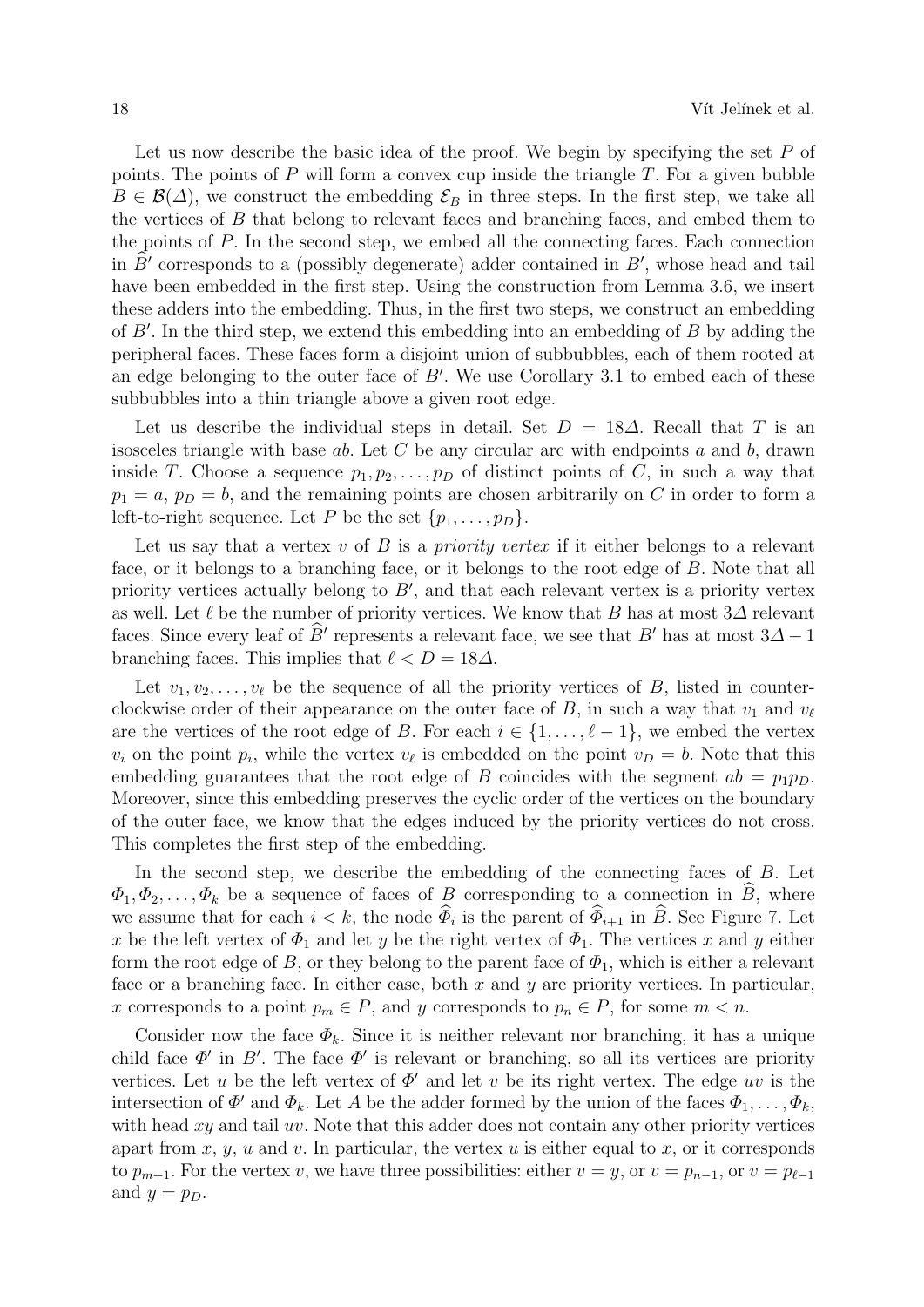Let us now describe the basic idea of the proof. We begin by specifying the set  $P$  of points. The points of  $P$  will form a convex cup inside the triangle  $T$ . For a given bubble  $B \in \mathcal{B}(\Delta)$ , we construct the embedding  $\mathcal{E}_B$  in three steps. In the first step, we take all the vertices of B that belong to relevant faces and branching faces, and embed them to the points of P. In the second step, we embed all the connecting faces. Each connection in  $\hat{B}'$  corresponds to a (possibly degenerate) adder contained in  $B'$ , whose head and tail have been embedded in the first step. Using the construction from Lemma 3.6, we insert these adders into the embedding. Thus, in the first two steps, we construct an embedding of  $B'$ . In the third step, we extend this embedding into an embedding of  $B$  by adding the peripheral faces. These faces form a disjoint union of subbubbles, each of them rooted at an edge belonging to the outer face of  $B'$ . We use Corollary 3.1 to embed each of these subbubbles into a thin triangle above a given root edge.

Let us describe the individual steps in detail. Set  $D = 18\Delta$ . Recall that T is an isosceles triangle with base  $ab$ . Let C be any circular arc with endpoints  $a$  and  $b$ , drawn inside T. Choose a sequence  $p_1, p_2, \ldots, p_D$  of distinct points of C, in such a way that  $p_1 = a, p_D = b$ , and the remaining points are chosen arbitrarily on C in order to form a left-to-right sequence. Let P be the set  $\{p_1, \ldots, p_D\}$ .

Let us say that a vertex v of B is a *priority vertex* if it either belongs to a relevant face, or it belongs to a branching face, or it belongs to the root edge of B. Note that all priority vertices actually belong to  $B'$ , and that each relevant vertex is a priority vertex as well. Let  $\ell$  be the number of priority vertices. We know that B has at most 3 $\Delta$  relevant faces. Since every leaf of  $\hat{B}$ <sup>'</sup> represents a relevant face, we see that  $B'$  has at most  $3\Delta - 1$ branching faces. This implies that  $\ell < D = 18\Delta$ .

Let  $v_1, v_2, \ldots, v_\ell$  be the sequence of all the priority vertices of B, listed in counterclockwise order of their appearance on the outer face of B, in such a way that  $v_1$  and  $v_\ell$ are the vertices of the root edge of B. For each  $i \in \{1, \ldots, \ell - 1\}$ , we embed the vertex  $v_i$  on the point  $p_i$ , while the vertex  $v_\ell$  is embedded on the point  $v_D = b$ . Note that this embedding guarantees that the root edge of B coincides with the segment  $ab = p_1 p_D$ . Moreover, since this embedding preserves the cyclic order of the vertices on the boundary of the outer face, we know that the edges induced by the priority vertices do not cross. This completes the first step of the embedding.

In the second step, we describe the embedding of the connecting faces of B. Let  $\Phi_1, \Phi_2, \ldots, \Phi_k$  be a sequence of faces of B corresponding to a connection in B, where we assume that for each  $i < k$ , the node  $\Phi_i$  is the parent of  $\Phi_{i+1}$  in B. See Figure 7. Let x be the left vertex of  $\Phi_1$  and let y be the right vertex of  $\Phi_1$ . The vertices x and y either form the root edge of B, or they belong to the parent face of  $\Phi_1$ , which is either a relevant face or a branching face. In either case, both  $x$  and  $y$  are priority vertices. In particular, x corresponds to a point  $p_m \in P$ , and y corresponds to  $p_n \in P$ , for some  $m < n$ .

Consider now the face  $\Phi_k$ . Since it is neither relevant nor branching, it has a unique child face  $\Phi'$  in B'. The face  $\Phi'$  is relevant or branching, so all its vertices are priority vertices. Let u be the left vertex of  $\Phi'$  and let v be its right vertex. The edge uv is the intersection of  $\Phi'$  and  $\Phi_k$ . Let A be the adder formed by the union of the faces  $\Phi_1, \ldots, \Phi_k$ , with head  $xy$  and tail  $uv$ . Note that this adder does not contain any other priority vertices apart from  $x, y, u$  and  $v$ . In particular, the vertex  $u$  is either equal to  $x$ , or it corresponds to  $p_{m+1}$ . For the vertex v, we have three possibilities: either  $v = y$ , or  $v = p_{n-1}$ , or  $v = p_{\ell-1}$ and  $y = p_D$ .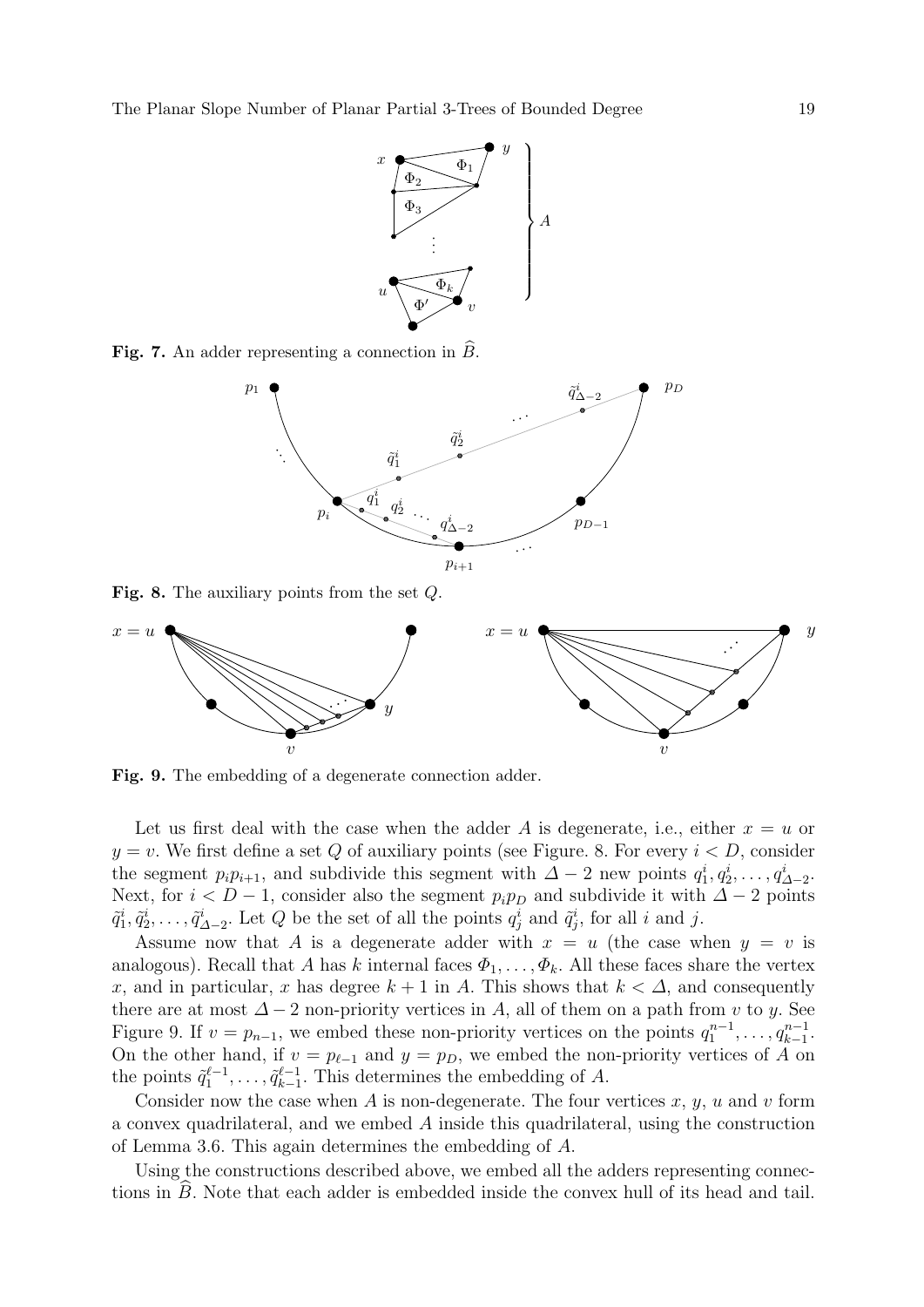

Fig. 7. An adder representing a connection in  $\tilde{B}$ .



Fig. 8. The auxiliary points from the set Q.



Fig. 9. The embedding of a degenerate connection adder.

Let us first deal with the case when the adder A is degenerate, i.e., either  $x = u$  or  $y = v$ . We first define a set Q of auxiliary points (see Figure. 8. For every  $i < D$ , consider the segment  $p_i p_{i+1}$ , and subdivide this segment with  $\Delta - 2$  new points  $q_1^i, q_2^i, \ldots, q_{\Delta-2}^i$ . Next, for  $i < D-1$ , consider also the segment  $p_i p_D$  and subdivide it with  $\Delta - 2$  points  $\tilde{q}_1^i, \tilde{q}_2^i, \ldots, \tilde{q}_{\Delta-2}^i$ . Let Q be the set of all the points  $q_j^i$  and  $\tilde{q}_j^i$ , for all i and j.

Assume now that A is a degenerate adder with  $x = u$  (the case when  $y = v$  is analogous). Recall that A has k internal faces  $\Phi_1, \ldots, \Phi_k$ . All these faces share the vertex x, and in particular, x has degree  $k + 1$  in A. This shows that  $k < \Delta$ , and consequently there are at most  $\Delta - 2$  non-priority vertices in A, all of them on a path from v to y. See Figure 9. If  $v = p_{n-1}$ , we embed these non-priority vertices on the points  $q_1^{n-1}, \ldots, q_{k-1}^{n-1}$ . On the other hand, if  $v = p_{\ell-1}$  and  $y = p_D$ , we embed the non-priority vertices of A on the points  $\tilde{q}_1^{\ell-1}, \ldots, \tilde{q}_{k-1}^{\ell-1}$  $\frac{k-1}{k-1}$ . This determines the embedding of A.

Consider now the case when A is non-degenerate. The four vertices  $x, y, u$  and v form a convex quadrilateral, and we embed A inside this quadrilateral, using the construction of Lemma 3.6. This again determines the embedding of A.

Using the constructions described above, we embed all the adders representing connections in  $B$ . Note that each adder is embedded inside the convex hull of its head and tail.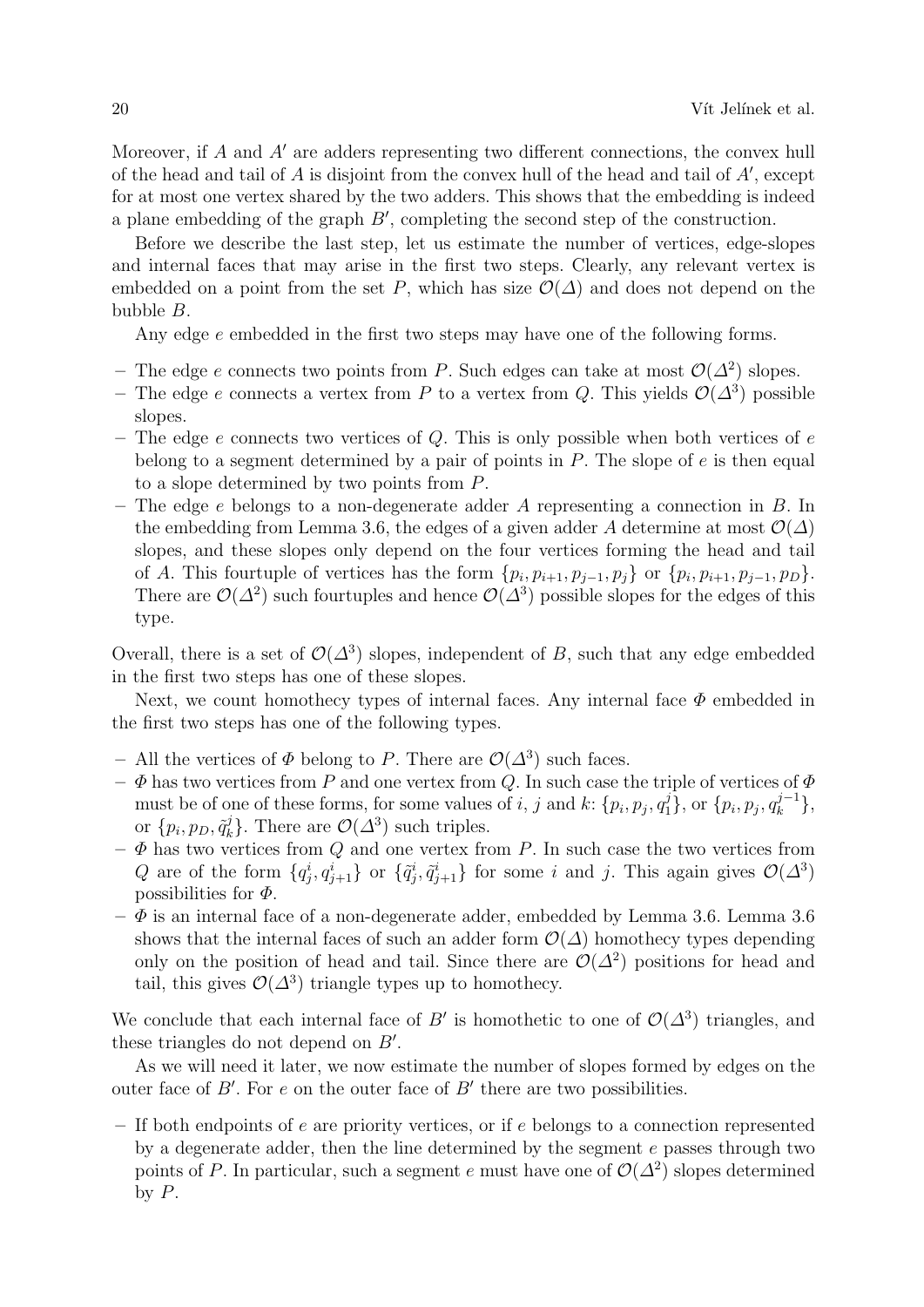Moreover, if A and A' are adders representing two different connections, the convex hull of the head and tail of  $A$  is disjoint from the convex hull of the head and tail of  $A'$ , except for at most one vertex shared by the two adders. This shows that the embedding is indeed a plane embedding of the graph  $B'$ , completing the second step of the construction.

Before we describe the last step, let us estimate the number of vertices, edge-slopes and internal faces that may arise in the first two steps. Clearly, any relevant vertex is embedded on a point from the set P, which has size  $\mathcal{O}(\Delta)$  and does not depend on the bubble B.

Any edge e embedded in the first two steps may have one of the following forms.

- The edge e connects two points from P. Such edges can take at most  $\mathcal{O}(\Delta^2)$  slopes.
- The edge e connects a vertex from P to a vertex from Q. This yields  $\mathcal{O}(\Delta^3)$  possible slopes.
- The edge e connects two vertices of Q. This is only possible when both vertices of  $e$ belong to a segment determined by a pair of points in  $P$ . The slope of  $e$  is then equal to a slope determined by two points from P.
- The edge  $e$  belongs to a non-degenerate adder  $A$  representing a connection in  $B$ . In the embedding from Lemma 3.6, the edges of a given adder A determine at most  $\mathcal{O}(\Delta)$ slopes, and these slopes only depend on the four vertices forming the head and tail of A. This fourtuple of vertices has the form  $\{p_i, p_{i+1}, p_{j-1}, p_j\}$  or  $\{p_i, p_{i+1}, p_{j-1}, p_D\}$ . There are  $\mathcal{O}(\Delta^2)$  such fourtuples and hence  $\mathcal{O}(\Delta^3)$  possible slopes for the edges of this type.

Overall, there is a set of  $\mathcal{O}(\Delta^3)$  slopes, independent of B, such that any edge embedded in the first two steps has one of these slopes.

Next, we count homothecy types of internal faces. Any internal face  $\Phi$  embedded in the first two steps has one of the following types.

- All the vertices of  $\Phi$  belong to P. There are  $\mathcal{O}(\Delta^3)$  such faces.
- $-\Phi$  has two vertices from P and one vertex from Q. In such case the triple of vertices of  $\Phi$ must be of one of these forms, for some values of i, j and k:  $\{p_i, p_j, q_1^j\}$ , or  $\{p_i, p_j, q_k^{j-1}\}$  $\big\{k^{j-1}\big\},\$ or  $\{p_i, p_D, \tilde{q}_k^j\}$  $\mathcal{O}(\Delta^3)$  such triples.
- $-\Phi$  has two vertices from Q and one vertex from P. In such case the two vertices from Q are of the form  $\{q_j^i, q_{j+1}^i\}$  or  $\{\tilde{q}_j^i, \tilde{q}_{j+1}^i\}$  for some i and j. This again gives  $\mathcal{O}(\Delta^3)$ possibilities for  $\Phi$ .
- $-\Phi$  is an internal face of a non-degenerate adder, embedded by Lemma 3.6. Lemma 3.6 shows that the internal faces of such an adder form  $\mathcal{O}(\Delta)$  homothecy types depending only on the position of head and tail. Since there are  $\mathcal{O}(\Delta^2)$  positions for head and tail, this gives  $\mathcal{O}(\Delta^3)$  triangle types up to homothecy.

We conclude that each internal face of B' is homothetic to one of  $\mathcal{O}(\Delta^3)$  triangles, and these triangles do not depend on  $B'$ .

As we will need it later, we now estimate the number of slopes formed by edges on the outer face of  $B'$ . For e on the outer face of  $B'$  there are two possibilities.

– If both endpoints of e are priority vertices, or if e belongs to a connection represented by a degenerate adder, then the line determined by the segment  $e$  passes through two points of P. In particular, such a segment e must have one of  $\mathcal{O}(\Delta^2)$  slopes determined by  $P$ .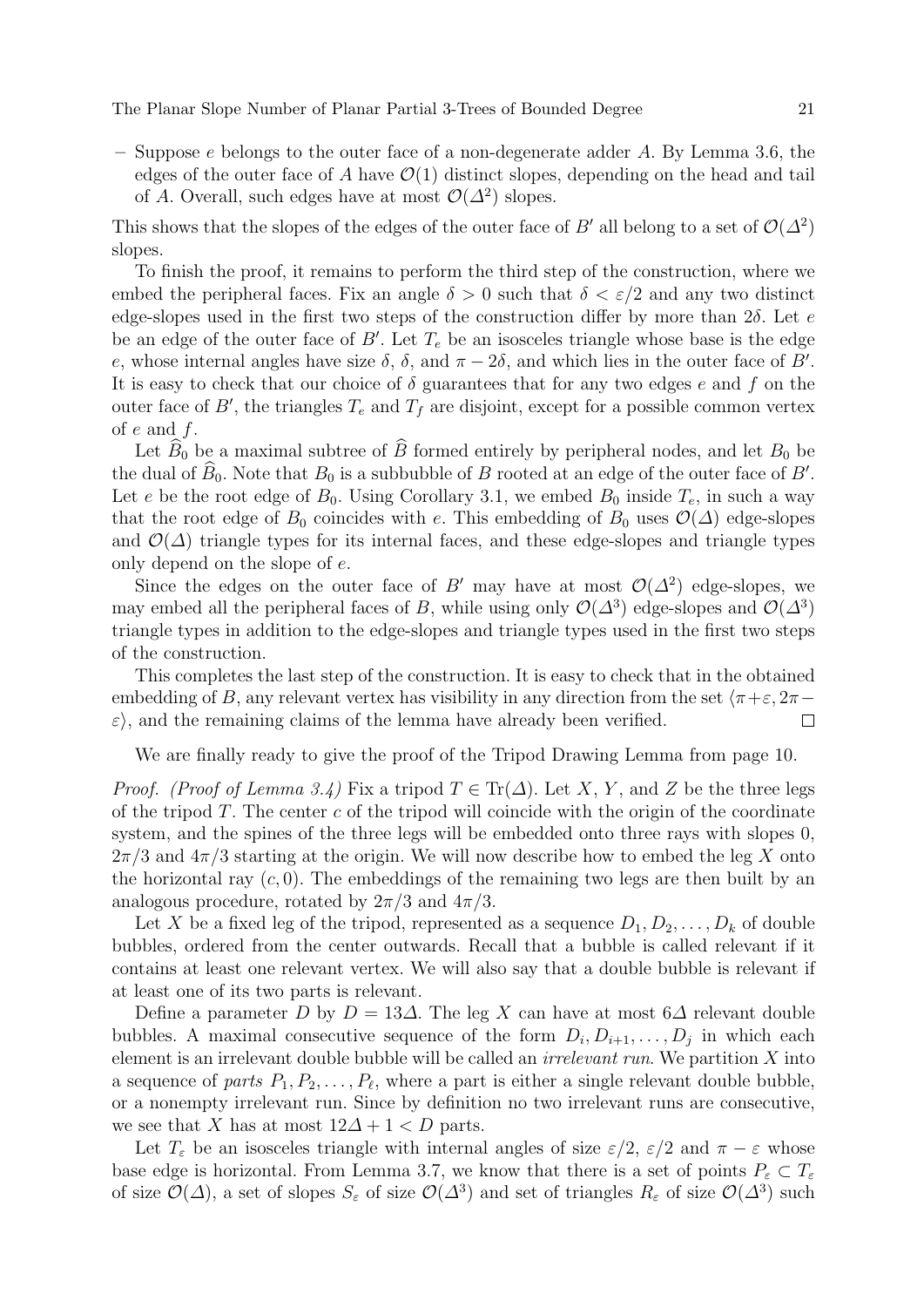$-$  Suppose e belongs to the outer face of a non-degenerate adder A. By Lemma 3.6, the edges of the outer face of A have  $\mathcal{O}(1)$  distinct slopes, depending on the head and tail of A. Overall, such edges have at most  $\mathcal{O}(\Delta^2)$  slopes.

This shows that the slopes of the edges of the outer face of B' all belong to a set of  $\mathcal{O}(\Delta^2)$ slopes.

To finish the proof, it remains to perform the third step of the construction, where we embed the peripheral faces. Fix an angle  $\delta > 0$  such that  $\delta < \varepsilon/2$  and any two distinct edge-slopes used in the first two steps of the construction differ by more than  $2\delta$ . Let e be an edge of the outer face of  $B'$ . Let  $T_e$  be an isosceles triangle whose base is the edge e, whose internal angles have size  $\delta$ ,  $\delta$ , and  $\pi - 2\delta$ , and which lies in the outer face of B'. It is easy to check that our choice of  $\delta$  guarantees that for any two edges e and f on the outer face of  $B'$ , the triangles  $T_e$  and  $T_f$  are disjoint, except for a possible common vertex of  $e$  and  $f$ .

Let  $\widehat{B}_0$  be a maximal subtree of  $\widehat{B}$  formed entirely by peripheral nodes, and let  $B_0$  be the dual of  $\hat{B}_0$ . Note that  $B_0$  is a subbubble of B rooted at an edge of the outer face of B'. Let e be the root edge of  $B_0$ . Using Corollary 3.1, we embed  $B_0$  inside  $T_e$ , in such a way that the root edge of  $B_0$  coincides with e. This embedding of  $B_0$  uses  $\mathcal{O}(\Delta)$  edge-slopes and  $\mathcal{O}(\Delta)$  triangle types for its internal faces, and these edge-slopes and triangle types only depend on the slope of e.

Since the edges on the outer face of B' may have at most  $\mathcal{O}(\Delta^2)$  edge-slopes, we may embed all the peripheral faces of B, while using only  $\mathcal{O}(\Delta^3)$  edge-slopes and  $\mathcal{O}(\Delta^3)$ triangle types in addition to the edge-slopes and triangle types used in the first two steps of the construction.

This completes the last step of the construction. It is easy to check that in the obtained embedding of B, any relevant vertex has visibility in any direction from the set  $\pi + \varepsilon$ , 2π−  $\varepsilon$ , and the remaining claims of the lemma have already been verified.  $\Box$ 

We are finally ready to give the proof of the Tripod Drawing Lemma from page 10.

*Proof.* (Proof of Lemma 3.4) Fix a tripod  $T \in \text{Tr}(\Delta)$ . Let X, Y, and Z be the three legs of the tripod  $T$ . The center c of the tripod will coincide with the origin of the coordinate system, and the spines of the three legs will be embedded onto three rays with slopes 0,  $2\pi/3$  and  $4\pi/3$  starting at the origin. We will now describe how to embed the leg X onto the horizontal ray  $(c, 0)$ . The embeddings of the remaining two legs are then built by an analogous procedure, rotated by  $2\pi/3$  and  $4\pi/3$ .

Let X be a fixed leg of the tripod, represented as a sequence  $D_1, D_2, \ldots, D_k$  of double bubbles, ordered from the center outwards. Recall that a bubble is called relevant if it contains at least one relevant vertex. We will also say that a double bubble is relevant if at least one of its two parts is relevant.

Define a parameter D by  $D = 13\Delta$ . The leg X can have at most 6 $\Delta$  relevant double bubbles. A maximal consecutive sequence of the form  $D_i, D_{i+1}, \ldots, D_j$  in which each element is an irrelevant double bubble will be called an irrelevant run. We partition X into a sequence of parts  $P_1, P_2, \ldots, P_\ell$ , where a part is either a single relevant double bubble, or a nonempty irrelevant run. Since by definition no two irrelevant runs are consecutive, we see that X has at most  $12\Delta + 1 < D$  parts.

Let  $T_{\varepsilon}$  be an isosceles triangle with internal angles of size  $\varepsilon/2$ ,  $\varepsilon/2$  and  $\pi - \varepsilon$  whose base edge is horizontal. From Lemma 3.7, we know that there is a set of points  $P_{\varepsilon} \subset T_{\varepsilon}$ of size  $\mathcal{O}(\Delta)$ , a set of slopes  $S_{\varepsilon}$  of size  $\mathcal{O}(\Delta^3)$  and set of triangles  $R_{\varepsilon}$  of size  $\mathcal{O}(\Delta^3)$  such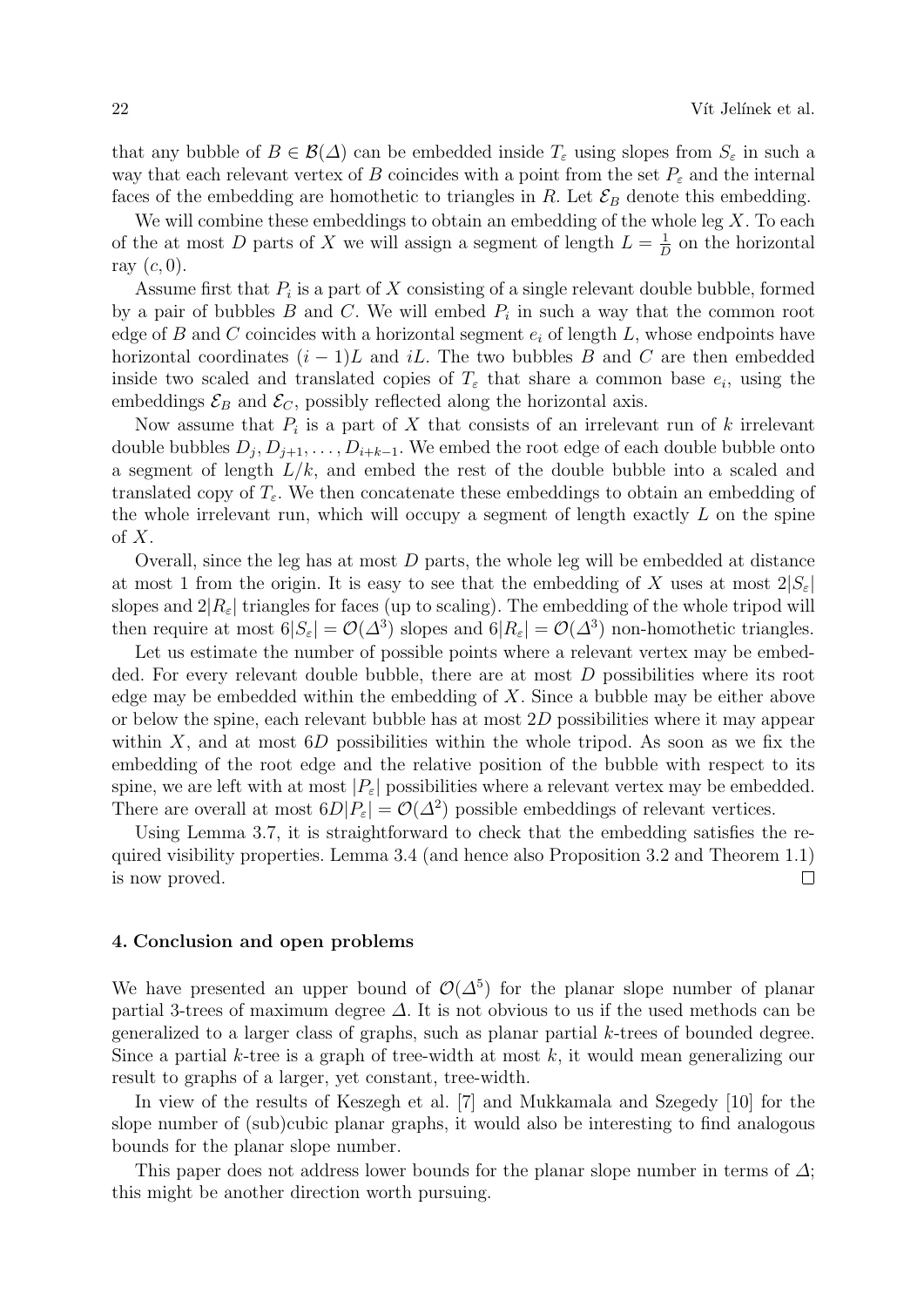that any bubble of  $B \in \mathcal{B}(\Delta)$  can be embedded inside  $T_{\varepsilon}$  using slopes from  $S_{\varepsilon}$  in such a way that each relevant vertex of B coincides with a point from the set  $P_{\varepsilon}$  and the internal faces of the embedding are homothetic to triangles in R. Let  $\mathcal{E}_B$  denote this embedding.

We will combine these embeddings to obtain an embedding of the whole leg  $X$ . To each of the at most D parts of X we will assign a segment of length  $L = \frac{1}{L}$  $\frac{1}{D}$  on the horizontal ray  $(c, 0)$ .

Assume first that  $P_i$  is a part of X consisting of a single relevant double bubble, formed by a pair of bubbles  $B$  and  $C$ . We will embed  $P_i$  in such a way that the common root edge of B and C coincides with a horizontal segment  $e_i$  of length L, whose endpoints have horizontal coordinates  $(i - 1)L$  and iL. The two bubbles B and C are then embedded inside two scaled and translated copies of  $T<sub>\varepsilon</sub>$  that share a common base  $e<sub>i</sub>$ , using the embeddings  $\mathcal{E}_B$  and  $\mathcal{E}_C$ , possibly reflected along the horizontal axis.

Now assume that  $P_i$  is a part of X that consists of an irrelevant run of k irrelevant double bubbles  $D_j, D_{j+1}, \ldots, D_{i+k-1}$ . We embed the root edge of each double bubble onto a segment of length  $L/k$ , and embed the rest of the double bubble into a scaled and translated copy of  $T_{\varepsilon}$ . We then concatenate these embeddings to obtain an embedding of the whole irrelevant run, which will occupy a segment of length exactly L on the spine of  $X$ .

Overall, since the leg has at most  $D$  parts, the whole leg will be embedded at distance at most 1 from the origin. It is easy to see that the embedding of X uses at most  $2|S_{\varepsilon}|$ slopes and  $2|R_{\varepsilon}|$  triangles for faces (up to scaling). The embedding of the whole tripod will then require at most  $6|S_{\varepsilon}| = \mathcal{O}(\Delta^3)$  slopes and  $6|R_{\varepsilon}| = \mathcal{O}(\Delta^3)$  non-homothetic triangles.

Let us estimate the number of possible points where a relevant vertex may be embedded. For every relevant double bubble, there are at most  $D$  possibilities where its root edge may be embedded within the embedding of  $X$ . Since a bubble may be either above or below the spine, each relevant bubble has at most 2D possibilities where it may appear within  $X$ , and at most  $6D$  possibilities within the whole tripod. As soon as we fix the embedding of the root edge and the relative position of the bubble with respect to its spine, we are left with at most  $|P_{\varepsilon}|$  possibilities where a relevant vertex may be embedded. There are overall at most  $6D|P_{\varepsilon}| = \mathcal{O}(\Delta^2)$  possible embeddings of relevant vertices.

Using Lemma 3.7, it is straightforward to check that the embedding satisfies the required visibility properties. Lemma 3.4 (and hence also Proposition 3.2 and Theorem 1.1) is now proved.  $\Box$ 

# 4. Conclusion and open problems

We have presented an upper bound of  $\mathcal{O}(\Delta^5)$  for the planar slope number of planar partial 3-trees of maximum degree  $\Delta$ . It is not obvious to us if the used methods can be generalized to a larger class of graphs, such as planar partial k-trees of bounded degree. Since a partial k-tree is a graph of tree-width at most  $k$ , it would mean generalizing our result to graphs of a larger, yet constant, tree-width.

In view of the results of Keszegh et al. [7] and Mukkamala and Szegedy [10] for the slope number of (sub)cubic planar graphs, it would also be interesting to find analogous bounds for the planar slope number.

This paper does not address lower bounds for the planar slope number in terms of  $\Delta$ ; this might be another direction worth pursuing.